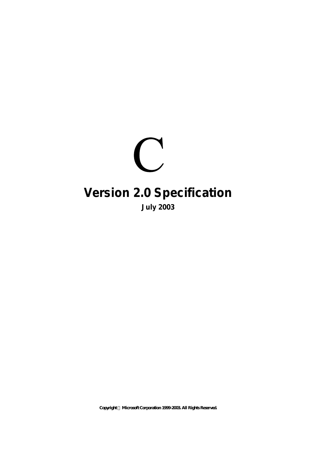# $\mathbf C$ **Version 2.0 Specification**

**July 2003**

*Copyright Microsoft Corporation 1999-2003. All Rights Reserved.*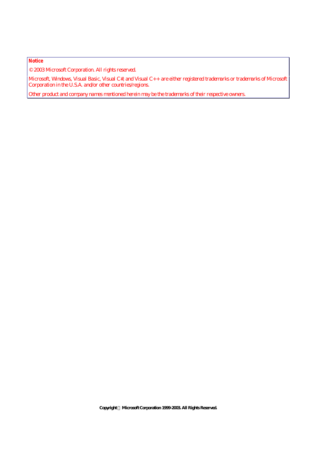# **Notice**

*© 2003 Microsoft Corporation. All rights reserved.*

Microsoft, Windows, Visual Basic, Visual C#, and Visual C++ are either registered trademarks or trademarks of Microsoft *Corporation in the U.S.A. and/or other countries/regions.*

*Other product and company names mentioned herein may be the trademarks of their respective owners.*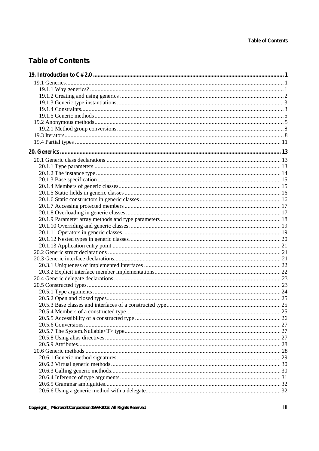# **Table of Contents**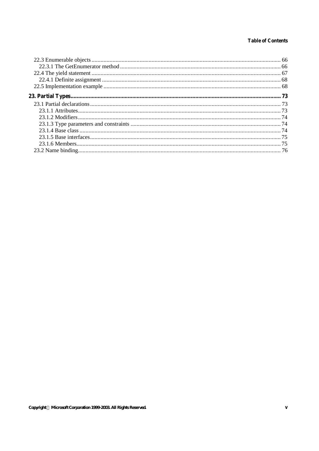# **Table of Contents**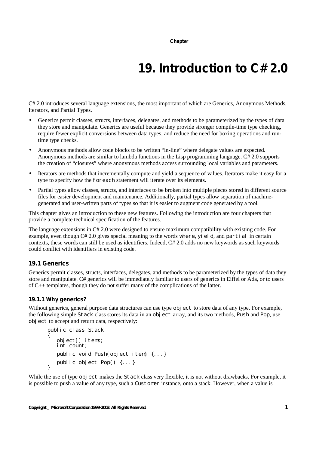# **19. Introduction to C# 2.0**

C# 2.0 introduces several language extensions, the most important of which are Generics, Anonymous Methods, Iterators, and Partial Types.

- Generics permit classes, structs, interfaces, delegates, and methods to be parameterized by the types of data they store and manipulate. Generics are useful because they provide stronger compile-time type checking, require fewer explicit conversions between data types, and reduce the need for boxing operations and runtime type checks.
- Anonymous methods allow code blocks to be written "in-line" where delegate values are expected. Anonymous methods are similar to lambda functions in the Lisp programming language. C# 2.0 supports the creation of "closures" where anonymous methods access surrounding local variables and parameters.
- Iterators are methods that incrementally compute and yield a sequence of values. Iterators make it easy for a type to specify how the foreach statement will iterate over its elements.
- Partial types allow classes, structs, and interfaces to be broken into multiple pieces stored in different source files for easier development and maintenance. Additionally, partial types allow separation of machinegenerated and user-written parts of types so that it is easier to augment code generated by a tool.

This chapter gives an introduction to these new features. Following the introduction are four chapters that provide a complete technical specification of the features.

The language extensions in C# 2.0 were designed to ensure maximum compatibility with existing code. For example, even though C# 2.0 gives special meaning to the words where, yi eld, and partial in certain contexts, these words can still be used as identifiers. Indeed, C# 2.0 adds no new keywords as such keywords could conflict with identifiers in existing code.

# **19.1 Generics**

Generics permit classes, structs, interfaces, delegates, and methods to be parameterized by the types of data they store and manipulate. C# generics will be immediately familiar to users of generics in Eiffel or Ada, or to users of C++ templates, though they do not suffer many of the complications of the latter.

# **19.1.1 Why generics?**

Without generics, general purpose data structures can use type object to store data of any type. For example, the following simple Stack class stores its data in an object array, and its two methods, Push and Pop, use object to accept and return data, respectively:

```
public class Stack
{
   object[] items;
   int count;
   public void Push(object item) {...}
   public object Pop() {...}
}
```
While the use of type object makes the Stack class very flexible, it is not without drawbacks. For example, it is possible to push a value of any type, such a Customer instance, onto a stack. However, when a value is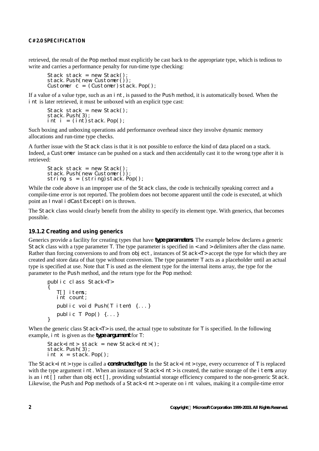retrieved, the result of the Pop method must explicitly be cast back to the appropriate type, which is tedious to write and carries a performance penalty for run-time type checking:

```
Stack stack = new Stack();
stack.Push(new Customer());
Customer c = (Customer) stack. Pop();
```
If a value of a value type, such as an int, is passed to the Push method, it is automatically boxed. When the int is later retrieved, it must be unboxed with an explicit type cast:

```
Stack stack = new Stack();
stack. Push(3);
int i = (int)stack. Pop();
```
Such boxing and unboxing operations add performance overhead since they involve dynamic memory allocations and run-time type checks.

A further issue with the Stack class is that it is not possible to enforce the kind of data placed on a stack. Indeed, a Customer instance can be pushed on a stack and then accidentally cast it to the wrong type after it is retrieved:

```
Stack stack = new Stack()
stack. Push(new Customer());
string s = (string)stack.Pop();
```
While the code above is an improper use of the Stack class, the code is technically speaking correct and a compile-time error is not reported. The problem does not become apparent until the code is executed, at which point an InvalidCastException is thrown.

The Stack class would clearly benefit from the ability to specify its element type. With generics, that becomes possible.

# **19.1.2 Creating and using generics**

Generics provide a facility for creating types that have *type parameters*. The example below declares a generic Stack class with a type parameter T. The type parameter is specified in < and > delimiters after the class name. Rather than forcing conversions to and from  $\text{obj} \text{ect}$ , instances of Stack $\text{ accept the type for which they are$ created and store data of that type without conversion. The type parameter  $\top$  acts as a placeholder until an actual type is specified at use. Note that  $\top$  is used as the element type for the internal items array, the type for the parameter to the Push method, and the return type for the Pop method:

```
public class Stack<T>
{
   T[] items;
   int count;
   public void Push(T item) {...}
   public T Pop() {...}
}
```
When the generic class  $Stack < T>$  is used, the actual type to substitute for T is specified. In the following example, int is given as the *type argument* for T:

```
Stack<int> stack = new Stack<int>();
stack. Push(3);
int x = stack. Pop():
```
The Stack<i nt> type is called a *constructed type*. In the Stack<i nt> type, every occurrence of T is replaced with the type argument int. When an instance of  $Stack \leq n \leq s$  is created, the native storage of the items array is an  $int[$  rather than  $obj$  ect $[]$ , providing substantial storage efficiency compared to the non-generic Stack. Likewise, the Push and Pop methods of a Stack<int> operate on int values, making it a compile-time error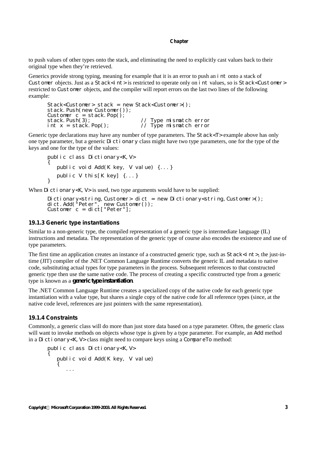to push values of other types onto the stack, and eliminating the need to explicitly cast values back to their original type when they're retrieved.

Generics provide strong typing, meaning for example that it is an error to push an int onto a stack of Customer objects. Just as a Stack<int> is restricted to operate only on int values, so is Stack<Customer> restricted to Customer objects, and the compiler will report errors on the last two lines of the following example:

```
Stack<Customer> stack = new Stack<Customer>();
stack.Push(new Customer());
Customer c = stack. Pop();<br>stack. Push(3);
stack. Push(3); // Type mismatch error<br>int x = stack. Pop(); // Type mismatch error
                                         \frac{1}{2} Type mismatch error
```
Generic type declarations may have any number of type parameters. The Stack<T> example above has only one type parameter, but a generic Dictionary class might have two type parameters, one for the type of the keys and one for the type of the values:

```
public class Dictionary<K,V>
{
   public void Add(K key, V value) {...}
   public V this[K key] {...}
}
```
When Dictionary<K,  $V >$  is used, two type arguments would have to be supplied:

```
Dictionary<string,Customer> dict = new Dictionary<string,Customer>();
dict.Add("Peter", new Customer());
Customer c = dict["Peter"];
```
# **19.1.3 Generic type instantiations**

Similar to a non-generic type, the compiled representation of a generic type is intermediate language (IL) instructions and metadata. The representation of the generic type of course also encodes the existence and use of type parameters.

The first time an application creates an instance of a constructed generic type, such as Stack<i nt>, the just-intime (JIT) compiler of the .NET Common Language Runtime converts the generic IL and metadata to native code, substituting actual types for type parameters in the process. Subsequent references to that constructed generic type then use the same native code. The process of creating a specific constructed type from a generic type is known as a *generic type instantiation*.

The .NET Common Language Runtime creates a specialized copy of the native code for each generic type instantiation with a value type, but shares a single copy of the native code for all reference types (since, at the native code level, references are just pointers with the same representation).

# **19.1.4 Constraints**

Commonly, a generic class will do more than just store data based on a type parameter. Often, the generic class will want to invoke methods on objects whose type is given by a type parameter. For example, an Add method in a Dictionary  $K$ , V is class might need to compare keys using a CompareTo method:

```
public class Dictionary<K,V>
{
   public void Add(K key, V value)
   {
      ...
```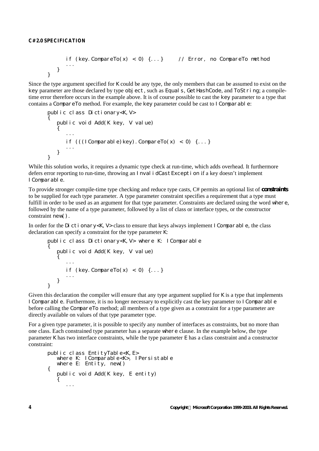```
if (key. CompareTo(x) < 0) \{... \} // Error, no CompareTo method
      ...
  }
}
```
Since the type argument specified for  $K$  could be any type, the only members that can be assumed to exist on the key parameter are those declared by type object, such as Equals, GetHashCode, and ToString; a compiletime error therefore occurs in the example above. It is of course possible to cast the key parameter to a type that contains a CompareTo method. For example, the key parameter could be cast to  $\ell$  Comparable:

```
public class Dictionary<K,V>
{
   public void Add(K key, V value)
   {
      ...
      if (((1 Comparable)key). CompareTo(x) < 0 {...}
      ...
  }
}
```
While this solution works, it requires a dynamic type check at run-time, which adds overhead. It furthermore defers error reporting to run-time, throwing an Inval i dCastException if a key doesn't implement I Comparable.

To provide stronger compile-time type checking and reduce type casts, C# permits an optional list of *constraints* to be supplied for each type parameter. A type parameter constraint specifies a requirement that a type must fulfill in order to be used as an argument for that type parameter. Constraints are declared using the word where, followed by the name of a type parameter, followed by a list of class or interface types, or the constructor constraint new().

In order for the Dictionary<K, V> class to ensure that keys always implement I Comparable, the class declaration can specify a constraint for the type parameter K:

```
public class Dictionary<K,V> where K: IComparable
{
   public void Add(K key, V value)
   {
      ...
      if (key. CompareTo(x) < 0) \{... \}...
   }
}
```
Given this declaration the compiler will ensure that any type argument supplied for  $K$  is a type that implements I Comparable. Furthermore, it is no longer necessary to explicitly cast the key parameter to I Comparable before calling the CompareTo method; all members of a type given as a constraint for a type parameter are directly available on values of that type parameter type.

For a given type parameter, it is possible to specify any number of interfaces as constraints, but no more than one class. Each constrained type parameter has a separate where clause. In the example below, the type parameter K has two interface constraints, while the type parameter E has a class constraint and a constructor constraint:

```
public class EntityTable<K,E>
   where K: IComparable<K>, IPersistable
   where E: Entity, new()
{
  public void Add(K key, E entity)
   {
      ...
```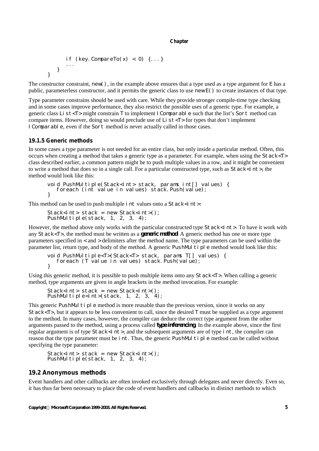```
if (key. CompareTo(x) < 0) \{ \dots \}...
}
```
The constructor constraint,  $new()$ , in the example above ensures that a type used as a type argument for  $E$  has a public, parameterless constructor, and it permits the generic class to use new E() to create instances of that type.

Type parameter constrains should be used with care. While they provide stronger compile-time type checking and in some cases improve performance, they also restrict the possible uses of a generic type. For example, a generic class List<T>might constrain T to implement I Comparable such that the list's Sort method can compare items. However, doing so would preclude use of  $Li$  st $\langle T \rangle$  for types that don't implement IComparable, even if the Sort method is never actually called in those cases.

# **19.1.5 Generic methods**

}

In some cases a type parameter is not needed for an entire class, but only inside a particular method. Often, this occurs when creating a method that takes a generic type as a parameter. For example, when using the Stack<T> class described earlier, a common pattern might be to push multiple values in a row, and it might be convenient to write a method that does so in a single call. For a particular constructed type, such as  $Stack\langle n \cdot n \rangle$ , the method would look like this:

```
void PushMultiple(Stack<int> stack, params int[] values) {
   foreach (int value in values) stack. Push(value);
}
```
This method can be used to push multiple  $\vert$  nt values onto a Stack $\vert$  nt $>$ :

```
Stack<int> stack = new Stack<int>();
PushMultiple(stack, 1, 2, 3, 4);
```
However, the method above only works with the particular constructed type Stack<i nt>. To have it work with any Stack<T>, the method must be written as a *generic method*. A generic method has one or more type parameters specified in < and > delimiters after the method name. The type parameters can be used within the parameter list, return type, and body of the method. A generic PushMultiple method would look like this:

```
void PushMultiple<T>(Stack<T> stack, params T[] values) {
   foreach (T value in values) stack.Push(value);
}
```
Using this generic method, it is possible to push multiple items onto any Stack<T>. When calling a generic method, type arguments are given in angle brackets in the method invocation. For example:

```
Stack<int> stack = new Stack<int>();
PushMultiple<int>(stack, 1, 2, 3, 4);
```
This generic PushMultiple method is more reusable than the previous version, since it works on any Stack<T>, but it appears to be less convenient to call, since the desired T must be supplied as a type argument to the method. In many cases, however, the compiler can deduce the correct type argument from the other arguments passed to the method, using a process called *type inferencing*. In the example above, since the first regular argument is of type Stack<int>, and the subsequent arguments are of type int, the compiler can reason that the type parameter must be int. Thus, the generic PushMultiple method can be called without specifying the type parameter:

```
Stack<int> stack = new Stack<int>();
PushMultiple(stack, 1, 2, 3, 4);
```
# **19.2 Anonymous methods**

Event handlers and other callbacks are often invoked exclusively through delegates and never directly. Even so, it has thus far been necessary to place the code of event handlers and callbacks in distinct methods to which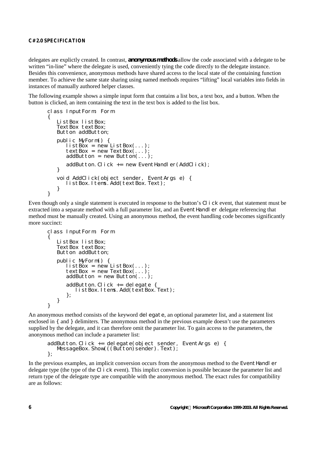delegates are explictly created. In contrast, *anonymous methods* allow the code associated with a delegate to be written "in-line" where the delegate is used, conveniently tying the code directly to the delegate instance. Besides this convenience, anonymous methods have shared access to the local state of the containing function member. To achieve the same state sharing using named methods requires "lifting" local variables into fields in instances of manually authored helper classes.

The following example shows a simple input form that contains a list box, a text box, and a button. When the button is clicked, an item containing the text in the text box is added to the list box.

```
class InputForm: Form
{
   ListBox listBox;
   TextBox textBox;
   Button addButton;
   public MyForm() {
      \overline{\text{listBox}} = \text{new} ListBox(...);
       textBox = new TextBox( . . . )addButton = new Button(...));
      addButton. Click += new EventHandler(AddClick);
   }
   void AddClick(object sender, EventArgs e) {
      listBox.Items.Add(textBox.Text);
   }
}
```
Even though only a single statement is executed in response to the button's CI i ck event, that statement must be extracted into a separate method with a full parameter list, and an EventHandl er delegate referencing that method must be manually created. Using an anonymous method, the event handling code becomes significantly more succinct:

```
class InputForm: Form
{
   ListBox listBox;
   TextBox textBox;
   Button addButton;
   public MyForm() {
      listBox = new ListBox(...);
      textBox = new TextBox( . . .);addButton = new Button(...));
      addButton. Click += delegate {
         listBox.Items.Add(textBox.Text);
      };
   }
}
```
An anonymous method consists of the keyword delegate, an optional parameter list, and a statement list enclosed in  $\{$  and  $\}$  delimiters. The anonymous method in the previous example doesn't use the parameters supplied by the delegate, and it can therefore omit the parameter list. To gain access to the parameters, the anonymous method can include a parameter list:

```
addButton.Click += delegate(object sender, EventArgs e) {
  MessageBox. Show(((Button)sender). Text);
};
```
In the previous examples, an implicit conversion occurs from the anonymous method to the EventHandler delegate type (the type of the Click event). This implict conversion is possible because the parameter list and return type of the delegate type are compatible with the anonymous method. The exact rules for compatibility are as follows: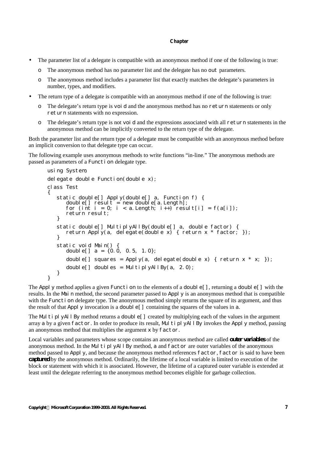- The parameter list of a delegate is compatible with an anonymous method if one of the following is true:
	- o The anonymous method has no parameter list and the delegate has no out parameters.
	- o The anonymous method includes a parameter list that exactly matches the delegate's parameters in number, types, and modifiers.
- The return type of a delegate is compatible with an anonymous method if one of the following is true:
	- The delegate's return type is void and the anonymous method has no return statements or only return statements with no expression.
	- $\circ$  The delegate's return type is not void and the expressions associated with all return statements in the anonymous method can be implicitly converted to the return type of the delegate.

Both the parameter list and the return type of a delegate must be compatible with an anonymous method before an implicit conversion to that delegate type can occur.

The following example uses anonymous methods to write functions "in-line." The anonymous methods are passed as parameters of a Function delegate type.

```
using System;
delegate double Function(double x);
class Test
\left\{ \right.static double[] Apply(double[] a, Function f) {
      double[] result = new double[a. Length];
      for (int i = 0; i < a. Length; i++) result[i] = f(a[i]);
      return result;
   }
   static double<sup>[]</sup> MultiplyAllBy(double<sup>[]</sup> a, double factor) {
      return Apply(a, delegate(double x) { return x * factor; });
   }
   static void Main() {
      double[] a = {0.0, 0.5, 1.0};
      double[] squares = Apply(a, delegate(double x) { return x * x; });
      double[] doubles = MultiplyAllBy(a, 2.0);
   }
}
```
The Apply method applies a given Function to the elements of a double  $[\ ]$ , returning a double  $[\ ]$  with the results. In the Main method, the second parameter passed to Apply is an anonymous method that is compatible with the Function delegate type. The anonymous method simply returns the square of its argument, and thus the result of that Apply invocation is a double  $[$  containing the squares of the values in a.

The MultiplyAllBy method returns a double  $[$  created by multiplying each of the values in the argument array a by a given factor. In order to produce its result, MultiplyAllBy invokes the Apply method, passing an anonymous method that multiplies the argument  $\times$  by  $\sqrt{a}$  factor.

Local variables and parameters whose scope contains an anonymous method are called *outer variables* of the anonymous method. In the MultiplyAllBy method, a and factor are outer variables of the anonymous method passed to Apply, and because the anonymous method references factor, factor is said to have been *captured* by the anonymous method. Ordinarily, the lifetime of a local variable is limited to execution of the block or statement with which it is associated. However, the lifetime of a captured outer variable is extended at least until the delegate referring to the anonymous method becomes eligible for garbage collection.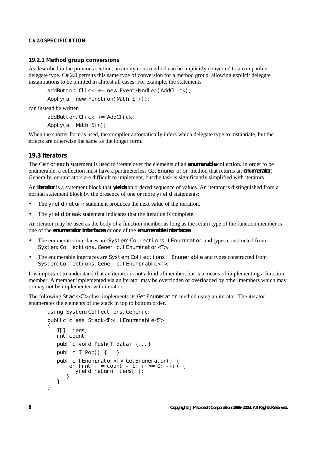#### **19.2.1 Method group conversions**

As described in the previous section, an anonymous method can be implicitly converted to a compatible delegate type. C# 2.0 permits this same type of conversion for a method group, allowing explicit delegate instantiations to be omitted in almost all cases. For example, the statements

addButton.Click  $+=$  new EventHandler(AddClick);

Apply(a, new Function(Math.Sin));

can instead be written

addButton. Click  $+=$  AddClick;

Apply(a, Math.Sin);

When the shorter form is used, the compiler automatically infers which delegate type to instantiate, but the effects are otherwise the same as the longer form.

# **19.3 Iterators**

The C# foreach statement is used to iterate over the elements of an *enumerable* collection. In order to be enumerable, a collection must have a parameterless GetEnumerator method that returns an *enumerator*. Generally, enumerators are difficult to implement, but the task is significantly simplified with iterators.

An *iterator* is a statement block that *yields* an ordered sequence of values. An iterator is distinguished from a normal statement block by the presence of one or more  $\forall i \in I$  d statements:

- The yi eld return statement produces the next value of the iteration.
- The yi eld break statement indicates that the iteration is complete.

An iterator may be used as the body of a function member as long as the return type of the function member is one of the *enumerator interfaces* or one of the *enumerable interfaces*:

- The enumerator interfaces are System. Collections. IEnumerator and types constructed from System. Collections. Generic. I Enumerator<T>.
- The enumerable interfaces are System. Collections. I Enumerable and types constructed from System. Collections. Generic. I Enumerable<T>.

It is important to understand that an iterator is not a kind of member, but is a means of implementing a function member. A member implemented via an iterator may be overridden or overloaded by other members which may or may not be implemented with iterators.

The following Stack<T> class implements its GetEnumerator method using an iterator. The iterator enumerates the elements of the stack in top to bottom order.

```
using System. Collections. Generic;
public class Stack<T>: IEnumerable<T>
{
   T[] items;
   int count;
   public void Push(T data) {...}
   public T Pop() {...}
   public IEnumerator<T> GetEnumerator() {
      for (int i = count - 1; i >= 0; --i) {
         yield return items[i];
      }
   }
}
```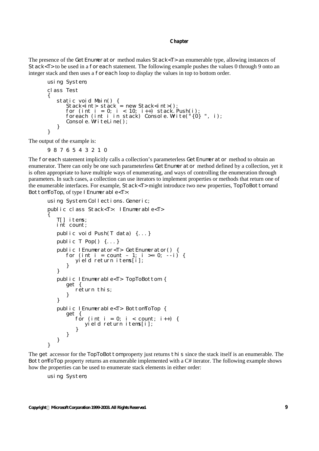The presence of the GetEnumerator method makes Stack<T> an enumerable type, allowing instances of Stack<T> to be used in a foreach statement. The following example pushes the values 0 through 9 onto an integer stack and then uses a foreach loop to display the values in top to bottom order.

```
using System;
class Test
{
   static void Main() {
      Stack<int> stack = new Stack<int>();
      for (int i = 0; i < 10; i++) stack. Push(i);
      foreach (int i in stack) Console.Write("{0} ", i);
      Console. WriteLine();
   }
}
```
The output of the example is:

9 8 7 6 5 4 3 2 1 0

The foreach statement implicitly calls a collection's parameterless GetEnumerator method to obtain an enumerator. There can only be one such parameterless GetEnumerator method defined by a collection, yet it is often appropriate to have multiple ways of enumerating, and ways of controlling the enumeration through parameters. In such cases, a collection can use iterators to implement properties or methods that return one of the enumerable interfaces. For example, Stack<T> might introduce two new properties, TopToBottom and BottomToTop, of type | Enumerable<T>:

```
using System. Collections. Generic;
public class Stack<T>: IEnumerable<T>
{
   T[] items;
   int count;
   public void Push(T data) {...}
   public T Pop() {...}
   public IEnumerator<T> GetEnumerator() {
      for (int i = count - 1; i >= 0; --i) {
         yield return items[i];
      }
   }
   public IEnumerable<T> TopToBottom {
      get {
         return this;
      }
   }
   public IEnumerable<T> BottomToTop {
      get {
         for (int i = 0; i < count; i+1) {
            yield return items[i];
         }
      }
   }
}
```
The get accessor for the TopToBottom property just returns this since the stack itself is an enumerable. The BottomToTop property returns an enumerable implemented with a C# iterator. The following example shows how the properties can be used to enumerate stack elements in either order:

using System;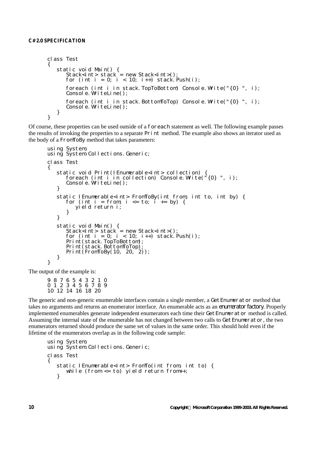```
class Test
{
   static void Main() {
      Stack<int> stack = new Stack<int>();
      for (int i = 0; i < 10; i + i) stack. Push(i);
      foreach (int i in stack. TopToBottom) Console. Write("{0} ", i);
      Console. WriteLine();
      foreach (int i in stack. BottomToTop) Console. Write("{0} ", i);
      Console. WriteLine();
   }
}
```
Of course, these properties can be used outside of a foreach statement as well. The following example passes the results of invoking the properties to a separate Print method. The example also shows an iterator used as the body of a FromToBy method that takes parameters:

```
using System;
using System. Collections. Generic;
class Test
{
   static void Print(IEnumerable<int> collection) {
      foreach (int i in collection) Console.Write("{0} ", i);
      Console. WriteLine();
   }
   static IEnumerable<int> FromToBy(int from, int to, int by) {
      for (int i = from; i <= to; i \rightarrow += by) {
         yield return i;
      }
   }
   static void Main() {
      Stack<int> stack = new Stack<int>();
      for (int i = 0; i < 10; i++) stack. Push(i);
      Print(stack.TopToBottom);
      Print(stack.BottomToTop);
      Print(FromToBy(10, 20, 2));
   }
}
```
The output of the example is:

9 8 7 6 5 4 3 2 1 0 0 1 2 3 4 5 6 7 8 9 10 12 14 16 18 20

The generic and non-generic enumerable interfaces contain a single member, a GetEnumerator method that takes no arguments and returns an enumerator interface. An enumerable acts as an *enumerator factory*. Properly implemented enumerables generate independent enumerators each time their GetEnumerator method is called. Assuming the internal state of the enumerable has not changed between two calls to GetEnumerator, the two enumerators returned should produce the same set of values in the same order. This should hold even if the lifetime of the enumerators overlap as in the following code sample:

```
using System;
using System. Collections. Generic;
class Test
{
   static IEnumerable<int> FromTo(int from, int to) {
      while (from \le to) yield return from++;
   \lambda
```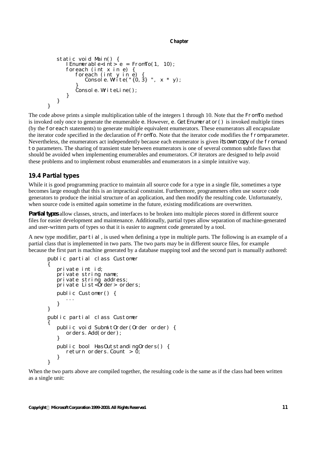```
static void Main() {
   I Enumerable <int > e = FromTo(1, 10);
   foreach (int x in e) {
      foreach (int y in e) {
         Console. Write("\{0, 3\}", x * y);
      }
      Console.WriteLine();
   }
}
```
The code above prints a simple multiplication table of the integers 1 through 10. Note that the FromTo method is invoked only once to generate the enumerable  $e$ . However,  $e$ . Get Enumerator() is invoked multiple times (by the foreach statements) to generate multiple equivalent enumerators. These enumerators all encapsulate the iterator code specified in the declaration of FromTo. Note that the iterator code modifies the from parameter. Nevertheless, the enumerators act independently because each enumerator is given *its own copy* of the from and to parameters. The sharing of transient state between enumerators is one of several common subtle flaws that should be avoided when implementing enumerables and enumerators. C# iterators are designed to help avoid these problems and to implement robust enumerables and enumerators in a simple intuitive way.

# **19.4 Partial types**

}

While it is good programming practice to maintain all source code for a type in a single file, sometimes a type becomes large enough that this is an impractical constraint. Furthermore, programmers often use source code generators to produce the initial structure of an application, and then modify the resulting code. Unfortunately, when source code is emitted again sometime in the future, existing modifications are overwritten.

*Partial types* allow classes, structs, and interfaces to be broken into multiple pieces stored in different source files for easier development and maintenance. Additionally, partial types allow separation of machine-generated and user-written parts of types so that it is easier to augment code generated by a tool.

A new type modifier, partial, is used when defining a type in multiple parts. The following is an example of a partial class that is implemented in two parts. The two parts may be in different source files, for example because the first part is machine generated by a database mapping tool and the second part is manually authored:

```
public partial class Customer
{
   private int id;
   private string name;
   private string address;
   private List<Order> orders;
   public Customer() {
      ...
   }
}
public partial class Customer
{
   public void SubmitOrder(Order order) {
      orders.Add(order);
   }
   public bool HasOutstandingOrders() {
      return orders. Count > 0:
   }
}
```
When the two parts above are compiled together, the resulting code is the same as if the class had been written as a single unit: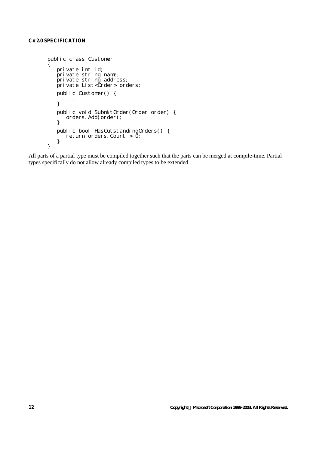```
public class Customer
{
   private int id;
   private string name;
   private string address;
   private List<Order> orders;
   public Customer() {
      ...
   }
   public void SubmitOrder(Order order) {
      orders.Add(order);
   }
   public bool HasOutstandingOrders() {
     return orders. Count > \vec{0};
   }
}
```
All parts of a partial type must be compiled together such that the parts can be merged at compile-time. Partial types specifically do not allow already compiled types to be extended.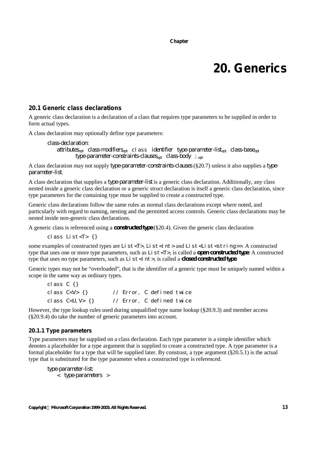# **20. Generics**

# **20.1 Generic class declarations**

A generic class declaration is a declaration of a class that requires type parameters to be supplied in order to form actual types.

A class declaration may optionally define type parameters:

```
class-declaration:
   attributesopt class-modifiersopt class identifier type-parameter-listopt class-baseopt
            type-parameter-constraints-clausesopt class-body ;opt
```
A class declaration may not supply *type-parameter-constraints-clauses* (§20.7) unless it also supplies a *typeparameter-list*.

A class declaration that supplies a *type-parameter-list* is a generic class declaration. Additionally, any class nested inside a generic class declaration or a generic struct declaration is itself a generic class declaration, since type parameters for the containing type must be supplied to create a constructed type.

Generic class declarations follow the same rules as normal class declarations except where noted, and particularly with regard to naming, nesting and the permitted access controls. Generic class declarations may be nested inside non-generic class declarations.

A generic class is referenced using a *constructed type* (§20.4). Given the generic class declaration

class List<T> {}

some examples of constructed types are List<T>, List<int> and List<List<string>>. A constructed type that uses one or more type parameters, such as List<T>, is called a *open constructed type*. A constructed type that uses no type parameters, such as List<int>, is called a *closed constructed type*.

Generic types may not be "overloaded", that is the identifier of a generic type must be uniquely named within a scope in the same way as ordinary types.

```
class C {}
class C<V> {} // Error, C defined twice
class C<U,V> {} // Error, C defined twice
```
However, the type lookup rules used during unqualified type name lookup (§20.9.3) and member access (§20.9.4) do take the number of generic parameters into account.

#### **20.1.1 Type parameters**

Type parameters may be supplied on a class declaration. Each type parameter is a simple identifier which denotes a placeholder for a type argument that is supplied to create a constructed type. A type parameter is a formal placeholder for a type that will be supplied later. By constrast, a type argument (§20.5.1) is the actual type that is substituted for the type parameter when a constructed type is referenced.

*type-parameter-list:* < *type-parameters* >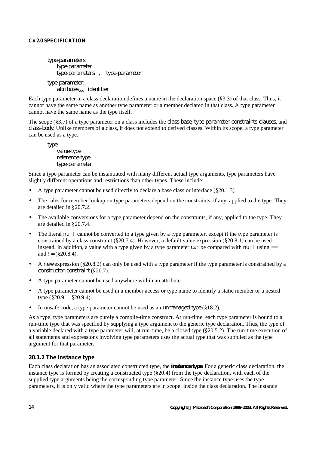*type-parameters: type-parameter type-parameters* , *type-parameter*

*type-parameter: attributesopt identifier*

Each type parameter in a class declaration defines a name in the declaration space (§3.3) of that class. Thus, it cannot have the same name as another type parameter or a member declared in that class. A type parameter cannot have the same name as the type itself.

The scope (§3.7) of a type parameter on a class includes the *class-base*, *type-parameter-constraints-clauses*, and *class-body*. Unlike members of a class, it does not extend to derived classes. Within its scope, a type parameter can be used as a type.

*type: value-type reference-type type-parameter*

Since a type parameter can be instantiated with many different actual type arguments, type parameters have slightly different operations and restrictions than other types. These include:

- A type parameter cannot be used directly to declare a base class or interface (§20.1.3).
- The rules for member lookup on type parameters depend on the constraints, if any, applied to the type. They are detailed in §20.7.2.
- The available conversions for a type parameter depend on the constraints, if any, applied to the type. They are detailed in §20.7.4.
- The literal null cannot be converted to a type given by a type parameter, except if the type parameter is constrained by a class constraint (§20.7.4). However, a default value expression (§20.8.1) can be used instead. In addition, a value with a type given by a type parameter *can* be compared with null using  $=$ and  $= (820.8.4)$ .
- A new expression (§20.8.2) can only be used with a type parameter if the type parameter is constrained by a *constructor-constraint* (§20.7).
- A type parameter cannot be used anywhere within an attribute.
- A type parameter cannot be used in a member access or type name to identify a static member or a nested type (§20.9.1, §20.9.4).
- In unsafe code, a type parameter cannot be used as an *unmanaged-type* (§18.2).

As a type, type parameters are purely a compile-time construct. At run-time, each type parameter is bound to a run-time type that was specified by supplying a type argument to the generic type declaration. Thus, the type of a variable declared with a type parameter will, at run-time, be a closed type (§20.5.2). The run-time execution of all statements and expressions involving type parameters uses the actual type that was supplied as the type argument for that parameter.

# **20.1.2 The instance type**

Each class declaration has an associated constructed type, the *instance type*. For a generic class declaration, the instance type is formed by creating a constructed type (§20.4) from the type declaration, with each of the supplied type arguments being the corresponding type parameter. Since the instance type uses the type parameters, it is only valid where the type parameters are in scope: inside the class declaration. The instance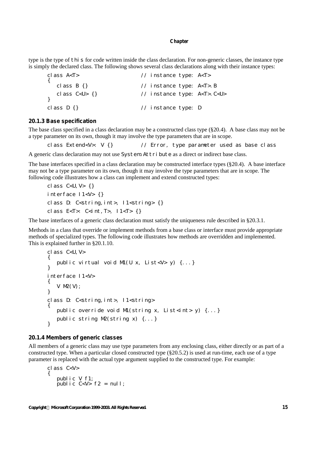type is the type of this for code written inside the class declaration. For non-generic classes, the instance type is simply the declared class. The following shows several class declarations along with their instance types:

```
class A<T> // instance type: A<T>
{
  class B {} // instance type: A<T>.B
  class C<U> {} // instance type: A<T>.C<U>
}
class D {} // instance type: D
```
#### **20.1.3 Base specification**

The base class specified in a class declaration may be a constructed class type (§20.4). A base class may not be a type parameter on its own, though it may involve the type parameters that are in scope.

class Extend<V>: V {} // Error, type parameter used as base class

A generic class declaration may not use System. Attribute as a direct or indirect base class.

The base interfaces specified in a class declaration may be constructed interface types (§20.4). A base interface may not be a type parameter on its own, though it may involve the type parameters that are in scope. The following code illustrates how a class can implement and extend constructed types:

```
class C < U, V > \{\}interface I1<V> {}
class D: C<string,int>, I1<string> {}
class E<T>: C<int,T>, I1<T> {}
```
The base interfaces of a generic class declaration must satisfy the uniqueness rule described in §20.3.1.

Methods in a class that override or implement methods from a base class or interface must provide appropriate methods of specialized types. The following code illustrates how methods are overridden and implemented. This is explained further in §20.1.10.

```
class C<U,V>
{
   public virtual void M1(U x, List<V> y) {...}
}
interface I1<V>
\{V M2(V);
}
class D: C<string, int>, l1<string>
{
   public override void M1(string x, List<int> y) {...}
   public string M2(string x) {...}
}
```
# **20.1.4 Members of generic classes**

All members of a generic class may use type parameters from any enclosing class, either directly or as part of a constructed type. When a particular closed constructed type (§20.5.2) is used at run-time, each use of a type parameter is replaced with the actual type argument supplied to the constructed type. For example:

```
class C<V>
{
   public V f1;
   public C < V > 12 = null;
```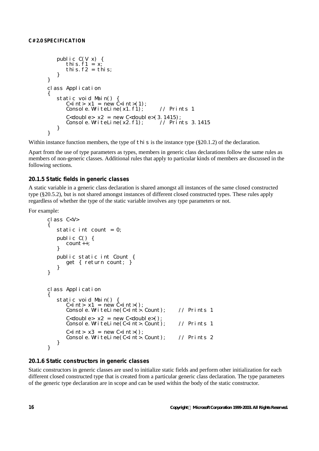```
public C(V x) {
        this. f1 = x;
        this. f2 = thi s;
    }
}
class Application
{
    static void Main() {
        C \leq i nt > x1 = new C \leq i nt >(1):
        Console. WriteLine(x1. f1); // Prints 1
        C<double> x^2 = new C<double>(3.1415);<br>Console. WriteLine(x2.f1); // Prints 3.1415
        Console. WriteLine(x2. f1);
    }
}
```
Within instance function members, the type of this is the instance type  $(\S 20.1.2)$  of the declaration.

Apart from the use of type parameters as types, members in generic class declarations follow the same rules as members of non-generic classes. Additional rules that apply to particular kinds of members are discussed in the following sections.

# **20.1.5 Static fields in generic classes**

A static variable in a generic class declaration is shared amongst all instances of the same closed constructed type (§20.5.2), but is not shared amongst instances of different closed constructed types. These rules apply regardless of whether the type of the static variable involves any type parameters or not.

For example:

```
class C<V>
{
   static int count = 0;
   public C() {
      count++;
   }
   public static int Count {
      get { return count; }
   }
}
class Application
{
   static void Main() {
      C<i nt> x1 = new \tilde{C} <i nt>();
      Console. WriteLine(C<int>. Count); // Prints 1
      C<double>x^2 = new C<double>();
      Console. WriteLine(C<int>. Count); // Prints 1
      C<int> x3 = new C<sub>1</sub>nt>(Console. WriteLine(C<int>. Count); // Prints 2
   }
}
```
# **20.1.6 Static constructors in generic classes**

Static constructors in generic classes are used to initialize static fields and perform other initialization for each different closed constructed type that is created from a particular generic class declaration. The type parameters of the generic type declaration are in scope and can be used within the body of the static constructor.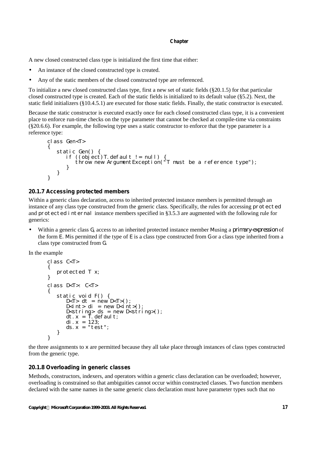A new closed constructed class type is initialized the first time that either:

- An instance of the closed constructed type is created.
- Any of the static members of the closed constructed type are referenced.

To initialize a new closed constructed class type, first a new set of static fields (§20.1.5) for that particular closed constructed type is created. Each of the static fields is initialized to its default value (§5.2). Next, the static field initializers (§10.4.5.1) are executed for those static fields. Finally, the static constructor is executed.

Because the static constructor is executed exactly once for each closed constructed class type, it is a convenient place to enforce run-time checks on the type parameter that cannot be checked at compile-time via constraints (§20.6.6). For example, the following type uses a static constructor to enforce that the type parameter is a reference type:

```
class Gen<T>
{
   static Gen() {
      if ((object)T.default != null) {
         throw new ArgumentException("T must be a reference type");
      }
   }
}
```
# **20.1.7 Accessing protected members**

Within a generic class declaration, access to inherited protected instance members is permitted through an instance of any class type constructed from the generic class. Specifically, the rules for accessing protected and protected internal instance members specified in §3.5.3 are augmented with the following rule for generics:

• Within a generic class G, access to an inherited protected instance member M using a *primary-expression* of the form  $E$ . M is permitted if the type of  $E$  is a class type constructed from G or a class type inherited from a class type constructed from G.

In the example

```
class C<T>
{
   protected T x;
}
class D<T>: C<T>
{
   static void F() {
       D<T> dt = new D < T > ();
       D<int> di = new D<int>();
      D<string> ds = new D<string>();
       dt.x = \tilde{T}. default;
       di.x = 123;
       ds.x = "test";
   }
}
```
the three assignments to  $\times$  are permitted because they all take place through instances of class types constructed from the generic type.

# **20.1.8 Overloading in generic classes**

Methods, constructors, indexers, and operators within a generic class declaration can be overloaded; however, overloading is constrained so that ambiguities cannot occur within constructed classes. Two function members declared with the same names in the same generic class declaration must have parameter types such that no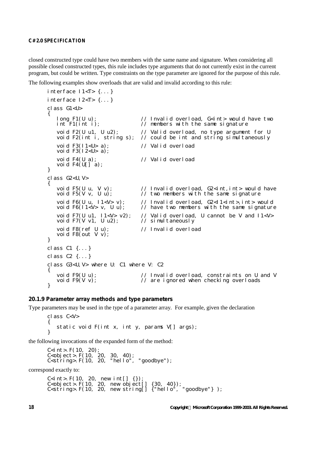closed constructed type could have two members with the same name and signature. When considering all possible closed constructed types, this rule includes type arguments that do not currently exist in the current program, but could be written. Type constraints on the type parameter are ignored for the purpose of this rule.

The following examples show overloads that are valid and invalid according to this rule:

```
interface 11<T> {\dots}
interface 12 < T > \{ \dots \}class G1<U>
{
   long F1(U u); \frac{1}{\sqrt{2}} Invalid overload, G<int> would have two int F1(int i);
                                    // members with the same signature
   void F2(U u1, U u2); \frac{1}{2} // Valid overload, no type argument for U
   void F2(int i, string s); // could be int and string simultaneously
   void F3(I1<U> a); // Valid overload
   void F3(12<sub>0</sub> - a);
   void F4(U a); // Valid overload
   void F4(U[1 a);
}
class G2<U,V>
{
   void F5(U u, V v); \frac{1}{\sqrt{2}} Invalid overload, G2<int,int> would have void F5(V v, U u); \frac{1}{\sqrt{2}} two members with the same signature
                                    \frac{1}{2} two members with the same signature
   void F6(U u, I1<V> v); // Invalid overload, G2<I1<int>,int> would void F6(I1<V> v, U u); // have two members with the same signature
                                    \frac{1}{2} have two members with the same signature
   void F7(U u1, I1<V> v2); // Valid overload, U cannot be V and I1<V> void F7(V v1, U u2); // simultaneously
   void F7(V v1, U u2);
   void F8(ref U u); \frac{1}{100} // Invalid overload
   void F8cout V v):
}
class C1 {...}
class C2 {...}
class G3<U,V> where U: C1 where V: C2
{
   void F9(U u); \frac{1}{1} are ignored when checking overloads void F9(V v);
                                     // are ignored when checking overloads
}
```
#### **20.1.9 Parameter array methods and type parameters**

Type parameters may be used in the type of a parameter array. For example, given the declaration

```
class C<V>
{
  static void F(int x, int y, params V[] args);
}
```
the following invocations of the expanded form of the method:

C<int>.F(10, 20); C<object>.F(10, 20, 30, 40); C<string>.F(10, 20, "hello", "goodbye");

correspond exactly to:

```
C<int>.F(10, 20, new int[] {});
C<object>.F(10, 20, new object[] {30, 40});
C<string>.F(10, 20, new string[] {"hello", "goodbye"} );
```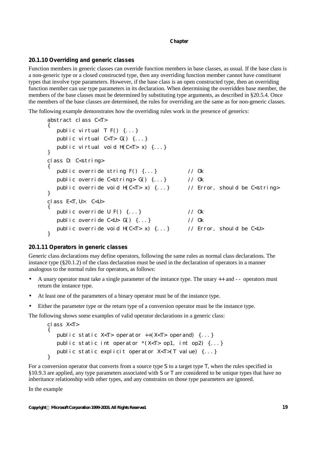# **20.1.10 Overriding and generic classes**

Function members in generic classes can override function members in base classes, as usual. If the base class is a non-generic type or a closed constructed type, then any overriding function member cannot have constituent types that involve type parameters. However, if the base class is an open constructed type, then an overriding function member can use type parameters in its declaration. When determining the overridden base member, the members of the base classes must be determined by substituting type arguments, as described in §20.5.4. Once the members of the base classes are determined, the rules for overriding are the same as for non-generic classes.

The following example demonstrates how the overriding rules work in the presence of generics:

```
abstract class C<T>
{
  public virtual T F() \{... \}public virtual C<T> G() {...}
  public virtual void H(C<T> x) {...}
}
class D: C<string>
{
  public override string F() {...} // Ok
  public override C<string> G() {...} // Ok
  public override void H(C < T > x) {...} // Error, should be C<string>
}
class E<T,U>: C<U>
{
  public override U F() {...} // Ok
  public override C<U> G() {...} // Ok
  public override void H(C<T> x) {...} // Error, should be C<U>
}
```
# **20.1.11 Operators in generic classes**

Generic class declarations may define operators, following the same rules as normal class declarations. The instance type (§20.1.2) of the class declaration must be used in the declaration of operators in a manner analogous to the normal rules for operators, as follows:

- A unary operator must take a single parameter of the instance type. The unary ++ and -- operators must return the instance type.
- At least one of the parameters of a binary operator must be of the instance type.
- Either the parameter type or the return type of a conversion operator must be the instance type.

The following shows some examples of valid operator declarations in a generic class:

```
class X<T>
{
   public static X<T> operator ++(X<T> operand) {...}
   public static int operator *(X<sub>5</sub> ) op1, int op2) {...,}public static explicit operator X<T>(T value) {...}
}
```
For a conversion operator that converts from a source type S to a target type  $\top$ , when the rules specified in  $$10.9.3$  are applied, any type parameters associated with S or T are considered to be unique types that have no inheritance relationship with other types, and any constrains on those type parameters are ignored.

In the example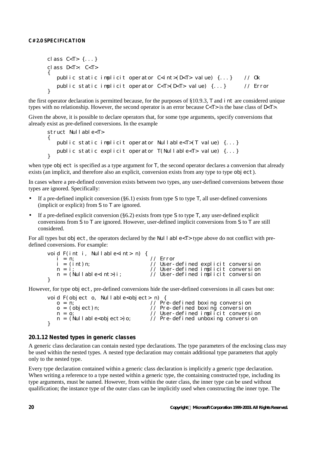```
class C < 7 > 1.
class D<T>: C<T>
{
   public static implicit operator C<int>(D<T> value) {...} // Ok
   public static implicit operator C<T>(D<T> value) {...} // Error
}
```
the first operator declaration is permitted because, for the purposes of §10.9.3, T and int are considered unique types with no relationship. However, the second operator is an error because  $C < T >$  is the base class of  $D < T >$ .

Given the above, it is possible to declare operators that, for some type arguments, specify conversions that already exist as pre-defined conversions. In the example

```
struct Nullable<T>
{
   public static implicit operator Nullable<T>(T value) {...}
   public static explicit operator T(Nullable<T> value) {...}
}
```
when type object is specified as a type argument for  $\top$ , the second operator declares a conversion that already exists (an implicit, and therefore also an explicit, conversion exists from any type to type object).

In cases where a pre-defined conversion exists between two types, any user-defined conversions between those types are ignored. Specifically:

- If a pre-defined implicit conversion (§6.1) exists from type S to type  $\top$ , all user-defined conversions (implicit or explicit) from  $S$  to  $T$  are ignored.
- If a pre-defined explicit conversion (§6.2) exists from type S to type  $\top$ , any user-defined explicit conversions from  $\overline{S}$  to  $\top$  are ignored. However, user-defined implicit conversions from  $S$  to  $\top$  are still considered.

For all types but object, the operators declared by the Nullable  $\leq$ T > type above do not conflict with predefined conversions. For example:

```
void F(int i, Nullable<int> n) {
  i = n; // Error
  i = (int)n; // User-defined explicit conversion
  n = i; // User-defined implicit conversion
  n = (Nullable<int>)i; // User-defined implicit conversion
}
```
However, for type object, pre-defined conversions hide the user-defined conversions in all cases but one:

```
void F(object o, Nullable<object> n) {
  o = n; // Pre-defined boxing conversion
  o = (object)n; // Pre-defined boxing conversion
  n = o; // User-defined implicit conversion
  n = (Nullable<object>)o; // Pre-defined unboxing conversion
}
```
# **20.1.12 Nested types in generic classes**

A generic class declaration can contain nested type declarations. The type parameters of the enclosing class may be used within the nested types. A nested type declaration may contain additional type parameters that apply only to the nested type.

Every type declaration contained within a generic class declaration is implicitly a generic type declaration. When writing a reference to a type nested within a generic type, the containing constructed type, including its type arguments, must be named. However, from within the outer class, the inner type can be used without qualification; the instance type of the outer class can be implicitly used when constructing the inner type. The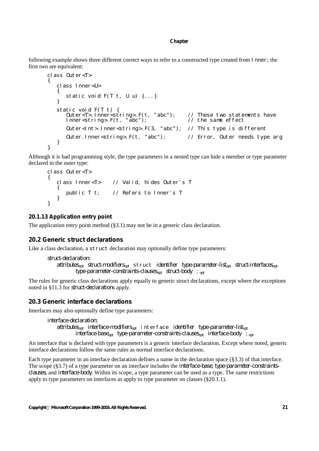following example shows three different correct ways to refer to a constructed type created from Inner; the first two are equivalent:

```
class Outer<T>
{
  class Inner<U>
  {
     static void F(T t, U u) {...}
  }
   static void F(T t) {
      Outer<T>.Inner<string>.F(t, "abc"); // These two statements have
      Inner<string>.F(t, "abc"); // the same effect
     Outer<int>. Inner<string>. F(3, "abc"); // This type is different
     Outer. Inner<string>. F(t, "abc"); // Error, Outer needs type arg
  }
}
```
Although it is bad programming style, the type parameters in a nested type can hide a member or type parameter declared in the outer type:

```
class Outer<T>
{
  class Inner<T> // Valid, hides Outer's T
  {
    public T t; // Refers to Inner's T
   }
}
```
# **20.1.13 Application entry point**

The application entry point method (§3.1) may not be in a generic class declaration.

# **20.2 Generic struct declarations**

Like a class declaration, a struct declaration may optionally define type parameters:

```
struct-declaration:
   attributesopt struct-modifiersopt struct identifier type-parameter-listopt struct-interfacesopt
            type-parameter-constraints-clausesopt struct-body ;opt
```
The rules for generic class declarations apply equally to generic struct declarations, except where the exceptions noted in §11.3 for *struct-declaration*s apply.

# **20.3 Generic interface declarations**

Interfaces may also optionally define type parameters:

```
interface-declaration:
    attributesopt
interface-modifiersopt interface identifier type-parameter-listopt
            interface-baseopt
type-parameter-constraints-clausesopt
interface-body ;opt
```
An interface that is declared with type parameters is a generic interface declaration. Except where noted, generic interface declarations follow the same rules as normal interface declarations.

Each type parameter in an interface declaration defines a name in the declaration space (§3.3) of that interface. The scope (§3.7) of a type parameter on an interface includes the *interface-base*, *type-parameter-constraintsclauses*, and *interface-body*. Within its scope, a type parameter can be used as a type. The same restrictions apply to type parameters on interfaces as apply to type parameter on classes (§20.1.1).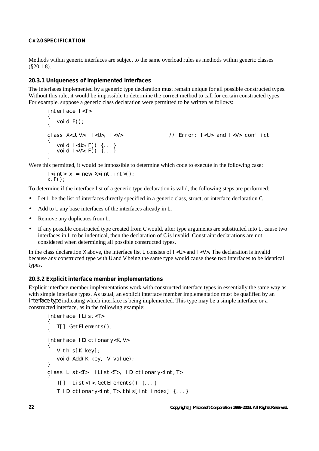Methods within generic interfaces are subject to the same overload rules as methods within generic classes (§20.1.8).

# **20.3.1 Uniqueness of implemented interfaces**

The interfaces implemented by a generic type declaration must remain unique for all possible constructed types. Without this rule, it would be impossible to determine the correct method to call for certain constructed types. For example, suppose a generic class declaration were permitted to be written as follows:

interface I<T> { void F(); } class X<U,V>: I<U>, I<V> // Error: I<U> and I<V> conflict { void I<U>.F() {...} void I<V>.F() {...} }

Were this permitted, it would be impossible to determine which code to execute in the following case:

```
1 \le int > x = new X \le int, int>(x.F();
```
To determine if the interface list of a generic type declaration is valid, the following steps are performed:

- Let  $\mathsf{\mathsf{L}}$  be the list of interfaces directly specified in a generic class, struct, or interface declaration  $\mathsf{\mathsf{C}}$ .
- Add to  $\perp$  any base interfaces of the interfaces already in  $\perp$ .
- Remove any duplicates from  $\mathsf{L}$ .
- If any possible constructed type created from  $\mathbb C$  would, after type arguments are substituted into  $\mathbb L$ , cause two interfaces in L to be indentical, then the declaration of C is invalid. Constraint declarations are not considered when determining all possible constructed types.

In the class declaration  $X$  above, the interface list  $\bot$  consists of  $\vert \langle \rangle$  and  $\vert \langle \rangle$ . The declaration is invalid because any constructed type with U and V being the same type would cause these two interfaces to be identical types.

# **20.3.2 Explicit interface member implementations**

Explicit interface member implementations work with constructed interface types in essentially the same way as with simple interface types. As usual, an explicit interface member implementation must be qualified by an *interface-type* indicating which interface is being implemented. This type may be a simple interface or a constructed interface, as in the following example:

```
interface IList<T>
{
   T[] GetElements();
}
interface IDictionary<K,V>
{
  V this[K key];
  void Add(K key, V value);
}
class List<T>: IList<T>, IDictionary<int,T>
{
  T[] IList<T>.GetElements() {...}
   T IDictionary<int,T>.this[int index] {...}
```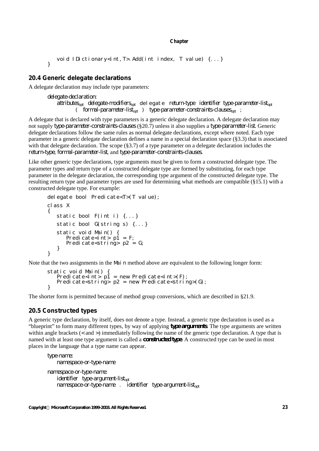```
void IDictionary<int, T>. Add(int index, T value) {...}
}
```
# **20.4 Generic delegate declarations**

A delegate declaration may include type parameters:

*delegate-declaration: attributesopt delegate-modifiersopt* delegate *return-type identifier type-parameter-listopt* ( *formal-parameter-listopt* ) *type-parameter-constraints-clausesopt* ;

A delegate that is declared with type parameters is a generic delegate declaration. A delegate declaration may not supply *type-parameter-constraints-clauses* (§20.7) unless it also supplies a *type-parameter-list*. Generic delegate declarations follow the same rules as normal delegate declarations, except where noted. Each type parameter in a generic delegate declaration defines a name in a special declaration space (§3.3) that is associated with that delegate declaration. The scope (§3.7) of a type parameter on a delegate declaration includes the *return-type*, *formal-parameter-list*, and *type-parameter-constraints-clauses*.

Like other generic type declarations, type arguments must be given to form a constructed delegate type. The parameter types and return type of a constructed delegate type are formed by substituting, for each type parameter in the delegate declaration, the corresponding type argument of the constructed delegate type. The resulting return type and parameter types are used for determining what methods are compatible (§15.1) with a constructed delegate type. For example:

```
delegate bool Predicate<T>(T value);
class X
{
   static bool F(int i) {...}
   static bool G(string s) {...}
   static void Main() {
      Predicate<int> p1 = F;
      Predicate<string> p2 = G;
   }
}
```
Note that the two assignments in the Main method above are equivalent to the following longer form:

```
static void Main() {
  Predicate<int>p1 = new Predicate<int>(F);
  Predicate<string> p2 = new Predicate<string>(G);}
```
The shorter form is permitted because of method group conversions, which are described in §21.9.

# **20.5 Constructed types**

A generic type declaration, by itself, does not denote a type. Instead, a generic type declaration is used as a "blueprint" to form many different types, by way of applying *type arguments*. The type arguments are written within angle brackets (< and >) immediately following the name of the generic type declaration. A type that is named with at least one type argument is called a *constructed type*. A constructed type can be used in most places in the language that a type name can appear.

*type-name: namespace-or-type-name namespace-or-type-name: identifier type-argument-listopt namespace-or-type-name* . *identifier type-argument-listopt*

*Copyright Microsoft Corporation 1999-2003. All Rights Reserved.* **23**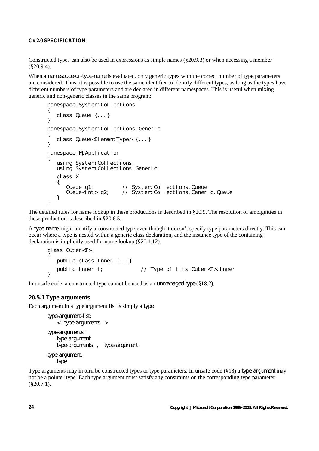Constructed types can also be used in expressions as simple names (§20.9.3) or when accessing a member (§20.9.4).

When a *namespace-or-type-name* is evaluated, only generic types with the correct number of type parameters are considered. Thus, it is possible to use the same identifier to identify different types, as long as the types have different numbers of type parameters and are declared in different namespaces. This is useful when mixing generic and non-generic classes in the same program:

```
namespace System. Collections
{
   class Queue {...}
}
namespace System. Collections. Generic
{
  class Queue<ElementType> {...}
}
namespace MyApplication
{
   using System. Collections;
   using System. Collections. Generic;
   class X
   {
      Queue q1; // System.Collections.Queue
      Queue<int> q2;      // System.Collections.Generic.Queue
   }
}
```
The detailed rules for name lookup in these productions is described in §20.9. The resolution of ambiguities in these production is described in §20.6.5.

A *type-name* might identify a constructed type even though it doesn't specify type parameters directly. This can occur where a type is nested within a generic class declaration, and the instance type of the containing declaration is implicitly used for name lookup (§20.1.12):

```
class Outer<T>
{
  public class Inner {...}
  public Inner i; // Type of i is Outer<T>.Inner
}
```
In unsafe code, a constructed type cannot be used as an *unmanaged-type* (§18.2).

# **20.5.1 Type arguments**

Each argument in a type argument list is simply a *type*.

```
type-argument-list:
   < type-arguments >
type-arguments:
   type-argument
   type-arguments , type-argument
type-argument:
   type
```
Type arguments may in turn be constructed types or type parameters. In unsafe code (§18) a *type-argument* may not be a pointer type. Each type argument must satisfy any constraints on the corresponding type parameter (§20.7.1).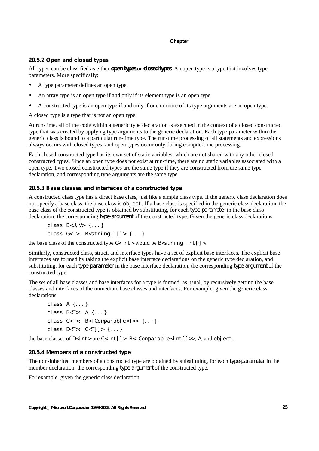# **20.5.2 Open and closed types**

All types can be classified as either *open types* or *closed types*. An open type is a type that involves type parameters. More specifically:

- A type parameter defines an open type.
- An array type is an open type if and only if its element type is an open type.
- A constructed type is an open type if and only if one or more of its type arguments are an open type.

A closed type is a type that is not an open type.

At run-time, all of the code within a generic type declaration is executed in the context of a closed constructed type that was created by applying type arguments to the generic declaration. Each type parameter within the generic class is bound to a particular run-time type. The run-time processing of all statements and expressions always occurs with closed types, and open types occur only during compile-time processing.

Each closed constructed type has its own set of static variables, which are not shared with any other closed constructed types. Since an open type does not exist at run-time, there are no static variables associated with a open type. Two closed constructed types are the same type if they are constructed from the same type declaration, and corresponding type arguments are the same type.

# **20.5.3 Base classes and interfaces of a constructed type**

A constructed class type has a direct base class, just like a simple class type. If the generic class declaration does not specify a base class, the base class is object. If a base class is specified in the generic class declaration, the base class of the constructed type is obtained by substituting, for each *type-parameter* in the base class declaration, the corresponding *type-argument* of the constructed type. Given the generic class declarations

```
class B<U,V> {...}
class G(T): B \left\{S(T) \mid T \in \{1, \ldots\} \right\}
```
the base class of the constructed type  $G$ <i nt > would be  $B$ <string, int[] >.

Similarly, constructed class, struct, and interface types have a set of explicit base interfaces. The explicit base interfaces are formed by taking the explicit base interface declarations on the generic type declaration, and substituting, for each *type-parameter* in the base interface declaration, the corresponding *type-argument* of the constructed type.

The set of all base classes and base interfaces for a type is formed, as usual, by recursively getting the base classes and interfaces of the immediate base classes and interfaces. For example, given the generic class declarations:

```
class A {...}
class B<T>: A {...}
class C<T>: B<IComparable<T>> {...}
cl ass D < T >: C < T[1] > \{... \}
```
the base classes of  $D$ <i  $nt$  are  $C$ <i  $nt$  [] >,  $B$ <l Comparable <i  $nt$  [] >>, A, and object.

# **20.5.4 Members of a constructed type**

The non-inherited members of a constructed type are obtained by substituting, for each *type-parameter* in the member declaration, the corresponding *type-argument* of the constructed type.

For example, given the generic class declaration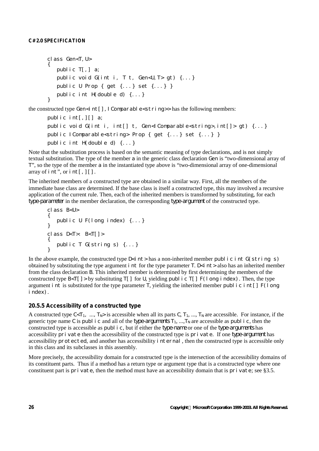```
class Gen<T,U>
{
  public T[,] a;
   public void G(int i, T t, Gen<U,T> gt) {...}
   public U Prop { get {...} set {...} }
   public int H(double d) {...}
}
```
the constructed type  $Gen \leq i \leq 1$ . Comparable  $\leq stri$  ng  $>$  has the following members:

```
public int[,][] a;
public void G(int i, int[] t, Gen<IComparable<string>,int[]> gt) {...}
public IComparable<string> Prop { get {...} set {...} }
public int H(double d) {...}
```
Note that the substitution process is based on the semantic meaning of type declarations, and is not simply textual substitution. The type of the member a in the generic class declaration Gen is "two-dimensional array of T", so the type of the member a in the instantiated type above is "two-dimensional array of one-dimensional array of  $int$ , or  $int[.]$ .

The inherited members of a constructed type are obtained in a similar way. First, all the members of the immediate base class are determined. If the base class is itself a constructed type, this may involved a recursive application of the current rule. Then, each of the inherited members is transformed by substituting, for each *type-parameter* in the member declaration, the corresponding *type-argument* of the constructed type.

```
class B<U>
{
   public U F(long index) {...}
}
class D<T>: B<T[]>
{
  public T G(string s) {...}
}
```
In the above example, the constructed type  $D$ <i  $nt$  > has a non-inherited member public int  $G(\text{stri ng } s)$ obtained by substituting the type argument int for the type parameter  $T$ . D<int > also has an inherited member from the class declaration B. This inherited member is determined by first determining the members of the constructed type  $B \lt T$ [] > by substituting  $T$ [] for U, yielding public T[] F(long index). Then, the type argument int is substituted for the type parameter  $\overline{T}$ , yielding the inherited member public int[]  $\overline{F(1)}$  ong index).

# **20.5.5 Accessibility of a constructed type**

A constructed type  $C < T_1$ , ...,  $T_N >$  is accessible when all its parts C,  $T_1$ , ...,  $T_N$  are accessible. For instance, if the generic type name C is public and all of the *type-arguments*  $T_1$ , ...,  $T_N$  are accessible as public, then the constructed type is accessible as public, but if either the *type-name* or one of the *type-arguments* has accessibility private then the accessibility of the constructed type is private. If one *type-argument* has accessibility protected, and another has accessibility internal, then the constructed type is accessible only in this class and its subclasses in this assembly.

More precisely, the accessibility domain for a constructed type is the intersection of the accessibility domains of its constituent parts. Thus if a method has a return type or argument type that is a constructed type where one constituent part is private, then the method must have an accessibility domain that is private; see §3.5.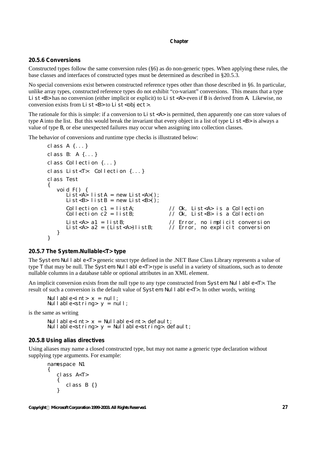# **20.5.6 Conversions**

Constructed types follow the same conversion rules (§6) as do non-generic types. When applying these rules, the base classes and interfaces of constructed types must be determined as described in §20.5.3.

No special conversions exist between constructed reference types other than those described in §6. In particular, unlike array types, constructed reference types do not exhibit "co-variant" conversions. This means that a type Li  $st < B$  has no conversion (either implicit or explicit) to Li  $st < A$  ver if B is derived from A. Likewise, no conversion exists from  $Li$  st<B> to  $Li$  st<obj ect>.

The rationale for this is simple: if a conversion to  $Li$  st $$  is permitted, then apparently one can store values of type A into the list. But this would break the invariant that every object in a list of type  $\text{Li } st < B$  is always a value of type B, or else unexpected failures may occur when assigning into collection classes.

The behavior of conversions and runtime type checks is illustrated below:

```
class A {...}
class B: A {...}
class Collection {...}
class List<T>: Collection {...}
class Test
{
   void F() {
      List<A> listA = new List<A>();
      List<B> listB = new List<B>():
      Collection c1 = listA;<br>
Collection c2 = listB;<br>
\frac{7}{2} Ok, List<B> is a Collection
                                         \frac{1}{2} Ok, List<B> is a Collection
      List<A> a1 = listB; // Error, no implicit conversion
      List<A> a2 = (List<A>)listB; // Error, no explicit conversion
   }
}
```
# **20.5.7 The System.Nullable<T> type**

The System. Nullable  $\leq$ T > generic struct type defined in the .NET Base Class Library represents a value of type  $\top$  that may be null. The System. Nullable  $\lt\top$  type is useful in a variety of situations, such as to denote nullable columns in a database table or optional attributes in an XML element.

An implicit conversion exists from the null type to any type constructed from System. Null able  $\epsilon$ -T>. The result of such a conversion is the default value of System. Null able<T>. In other words, writing

```
Nullable<int>x = null;
Nullable<string> y = null;
```
is the same as writing

Nullable<int>  $x =$  Nullable<int>.default; Nullable<string> y = Nullable<string>.default;

# **20.5.8 Using alias directives**

Using aliases may name a closed constructed type, but may not name a generic type declaration without supplying type arguments. For example:

```
namespace N1
{
   class A<T>
   {
      class B {}
   }
```
*Copyright Microsoft Corporation 1999-2003. All Rights Reserved.* **27**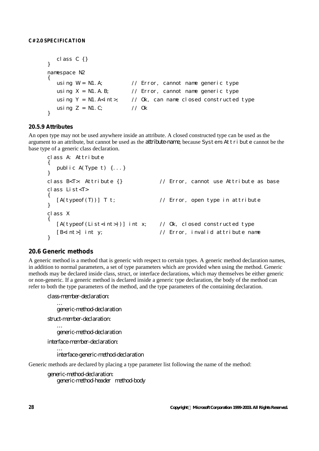```
class C {}
}
namespace N2
{
  using W = NI.A; // Error, cannot name generic typeusing X = N1. A. B; \frac{1}{2} Error, cannot name generic type
   using Y = N1. A<int>; // Ok, can name closed constructed type
   using Z = N1. C; \frac{1}{2} ok
}
```
# **20.5.9 Attributes**

An open type may not be used anywhere inside an attribute. A closed constructed type can be used as the argument to an attribute, but cannot be used as the *attribute-name*, because System. Attribute cannot be the base type of a generic class declaration.

```
class A: Attribute
{
  public A(Type t) {...}
}
class B<T>: Attribute {} // Error, cannot use Attribute as base
class List<T>
{
  [A(typeof(T))] T t; // Error, open type in attribute
}
class X
{
  [A(ty) = f(x) + f(z) + f(z))] int x; // Ok, closed constructed type
  [B<int>] int y; // Error, invalid attribute name
}
```
# **20.6 Generic methods**

*…*

*…*

A generic method is a method that is generic with respect to certain types. A generic method declaration names, in addition to normal parameters, a set of type parameters which are provided when using the method. Generic methods may be declared inside class, struct, or interface declarations, which may themselves be either generic or non-generic. If a generic method is declared inside a generic type declaration, the body of the method can refer to both the type parameters of the method, and the type parameters of the containing declaration.

*class-member-declaration:*

*… generic-method-declaration*

*struct-member-declaration:*

*generic-method-declaration*

*interface-member-declaration:*

*interface-generic-method-declaration*

Generic methods are declared by placing a type parameter list following the name of the method:

*generic-method-declaration: generic-method-header method-body*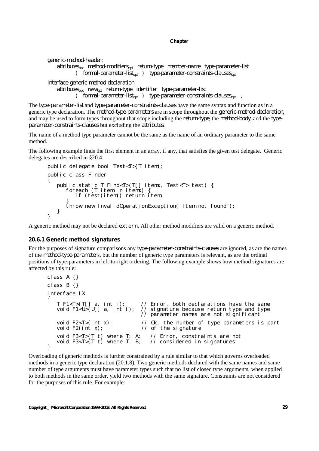```
generic-method-header:
   attributesopt method-modifiersopt return-type member-name type-parameter-list
           ( formal-parameter-listopt ) type-parameter-constraints-clausesopt
```

```
interface-generic-method-declaration:
```
*attributesopt* new*opt return-type identifier type-parameter-list* ( *formal-parameter-listopt* ) *type-parameter-constraints-clausesopt* ;

The *type-parameter-list* and *type-parameter-constraints-clauses* have the same syntax and function as in a generic type declaration. The *method-type-parameters* are in scope throughout the *generic-method-declaration*, and may be used to form types throughout that scope including the *return-type*, the *method-body*, and the *typeparameter-constraints-clauses* but excluding the *attributes*.

The name of a method type parameter cannot be the same as the name of an ordinary parameter to the same method.

The following example finds the first element in an array, if any, that satisfies the given test delegate. Generic delegates are described in §20.4.

```
public delegate bool Test<T>(T item);
public class Finder
{
   public static T Find<T>(T[] items, Test<T> test) {
      foreach (T item in items) {
         if (test(item)) return item;
      }
      throw new InvalidOperationException("Item not found");
   }
}
```
A generic method may not be declared extern. All other method modifiers are valid on a generic method.

#### **20.6.1 Generic method signatures**

For the purposes of signature comparisons any *type-parameter-constraints-clauses* are ignored, as are the names of the *method-type-parameter*s, but the number of generic type parameters is relevant, as are the ordinal positions of type-parameters in left-to-right ordering. The following example shows how method signatures are affected by this rule:

```
class A {}
class B {}
interface IX
{
    T F1<T>(T[] a, int i); // Error, both declarations have the same void F1<U>(U[] a, int i); // signature because return type and type
    void F1<U>(U[] a, int i); // signature because return type and type
                                            // parameter names are not significant
    void F2<T>(int x); \frac{1}{2} Ok, the number of type parameters is part void F2(int x); \frac{1}{2} of the signature
                                           \frac{1}{2} of the signature
    void F3<T>(T \t) where T: A; // Error, constraints are not void F3<T>(T \t) where T: B; // considered in signatures
                                                // considered in signatures
}
```
Overloading of generic methods is further constrained by a rule similar to that which governs overloaded methods in a generic type declaration (20.1.8). Two generic methods declared with the same names and same number of type arguments must have parameter types such that no list of closed type arguments, when applied to both methods in the same order, yield two methods with the same signature. Constraints are not considered for the purposes of this rule. For example: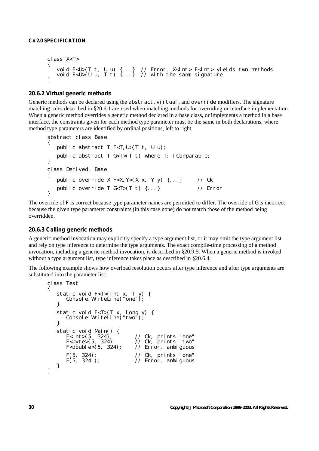```
class X<T>
{
   void F<U>(T t, U u) {...} // Error, X<int>.F<int> yields two methods
   void F<U>(U u, T t) {...} // with the same signature
}
```
# **20.6.2 Virtual generic methods**

Generic methods can be declared using the abstract, virtual, and override modifiers. The signature matching rules described in §20.6.1 are used when matching methods for overriding or interface implementation. When a generic method overrides a generic method declared in a base class, or implements a method in a base interface, the constraints given for each method type parameter must be the same in both declarations, where method type parameters are identified by ordinal positions, left to right.

```
abstract class Base
{
   public abstract T F<T,U>(T t, U u);
   public abstract T G<T>(T t) where T: IComparable;
}
class Derived: Base
{
   public override X F<X, Y>(X \times, Y \times) {...} // Ok
   public override T G<T>(T t) {...} // Error
}
```
The override of F is correct because type parameter names are permitted to differ. The override of G is incorrect because the given type parameter constraints (in this case none) do not match those of the method being overridden.

# **20.6.3 Calling generic methods**

A generic method invocation may explicitly specify a type argument list, or it may omit the type argument list and rely on type inference to determine the type arguments. The exact compile-time processing of a method invocation, including a generic method invocation, is described in §20.9.5. When a generic method is invoked without a type argument list, type inference takes place as described in §20.6.4.

The following example shows how overload resolution occurs after type inference and after type arguments are substituted into the parameter list:

```
class Test
{
   static void F<T>(int x, T y) {
      Console. WriteLine("one");
   }
   static void F<T>(T x, long y) {
      Console.WriteLine("two");
   }
   static void Main() {<br>F<int>(5, 324);<br>F<br/>syte>(5, 324);
      F<int>(5, 324); // Ok, prints "one"
      F<byte>(5, 324); // Ok, prints "two"
      F<double>(5, 324); // Error, ambiguous
      F(5, 324); // Ok, prints "one"
                              // Error, ambiguous
   }
}
```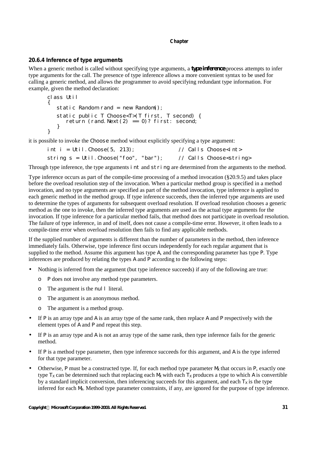## **20.6.4 Inference of type arguments**

When a generic method is called without specifying type arguments, a *type inference* process attempts to infer type arguments for the call. The presence of type inference allows a more convenient syntax to be used for calling a generic method, and allows the programmer to avoid specifying redundant type information. For example, given the method declaration:

```
class Util
{
   static Random rand = new Random();
   static public T Choose<T>(T first, T second) {
      return (rand. Next(2) == 0? first: second;
   }
}
```
it is possible to invoke the Choose method without explicitly specifying a type argument:

| int i = Util.Choose(5, 213);              | // Calls Choose <int></int>       |
|-------------------------------------------|-----------------------------------|
| string $s = Uti1$ . Choose("foo", "bar"); | // Calls Choose <string></string> |

Through type inference, the type arguments int and string are determined from the arguments to the method.

Type inference occurs as part of the compile-time processing of a method invocation (§20.9.5) and takes place before the overload resolution step of the invocation. When a particular method group is specified in a method invocation, and no type arguments are specified as part of the method invocation, type inference is applied to each generic method in the method group. If type inference succeeds, then the inferred type arguments are used to determine the types of arguments for subsequent overload resolution. If overload resolution chooses a generic method as the one to invoke, then the inferred type arguments are used as the actual type arguments for the invocation. If type inference for a particular method fails, that method does not participate in overload resolution. The failure of type inference, in and of itself, does not cause a compile-time error. However, it often leads to a compile-time error when overload resolution then fails to find any applicable methods.

If the supplied number of arguments is different than the number of parameters in the method, then inference immediately fails. Otherwise, type inference first occurs independently for each regular argument that is supplied to the method. Assume this argument has type A, and the corresponding parameter has type P. Type inferences are produced by relating the types A and P according to the following steps:

- Nothing is inferred from the argument (but type inference succeeds) if any of the following are true:
	- o P does not involve any method type parameters.
	- $\circ$  The argument is the null literal.
	- o The argument is an anonymous method.
	- o The argument is a method group.
- If P is an array type and A is an array type of the same rank, then replace A and P respectively with the element types of A and P and repeat this step.
- If  $P$  is an array type and A is not an array type of the same rank, then type inference fails for the generic method.
- If  $P$  is a method type parameter, then type inference succeeds for this argument, and  $A$  is the type inferred for that type parameter.
- Otherwise, P must be a constructed type. If, for each method type parameter  $M_X$  that occurs in P, exactly one type  $T_X$  can be determined such that replacing each  $M_X$  with each  $T_X$  produces a type to which A is convertible by a standard implicit conversion, then inferencing succeeds for this argument, and each  $\top$ <sub>x</sub> is the type inferred for each  $M_X$ . Method type parameter constraints, if any, are ignored for the purpose of type inference.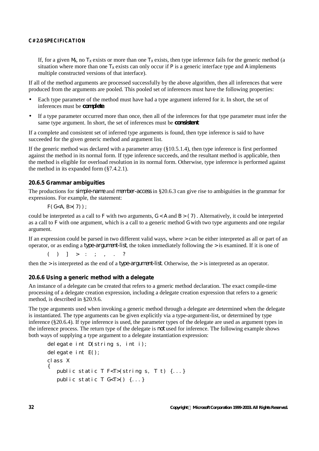If, for a given  $M_x$ , no  $T_x$  exists or more than one  $T_x$  exists, then type inference fails for the generic method (a situation where more than one  $T_X$  exists can only occur if P is a generic interface type and A implements multiple constructed versions of that interface).

If all of the method arguments are processed successfully by the above algorithm, then all inferences that were produced from the arguments are pooled. This pooled set of inferences must have the following properties:

- Each type parameter of the method must have had a type argument inferred for it. In short, the set of inferences must be *complete*.
- If a type parameter occurred more than once, then all of the inferences for that type parameter must infer the same type argument. In short, the set of inferences must be *consistent*.

If a complete and consistent set of inferred type arguments is found, then type inference is said to have succeeded for the given generic method and argument list.

If the generic method was declared with a parameter array (§10.5.1.4), then type inference is first performed against the method in its normal form. If type inference succeeds, and the resultant method is applicable, then the method is eligible for overload resolution in its normal form. Otherwise, type inference is performed against the method in its expanded form (§7.4.2.1).

### **20.6.5 Grammar ambiguities**

The productions for *simple-name* and *member-access* in §20.6.3 can give rise to ambiguities in the grammar for expressions. For example, the statement:

 $F(G < A, B > (7))$ ;

could be interpreted as a call to  $\overline{F}$  with two arguments,  $G < A$  and  $B > (7)$ . Alternatively, it could be interpreted as a call to F with one argument, which is a call to a generic method G with two type arguments and one regular argument.

If an expression could be parsed in two different valid ways, where  $>$  can be either interpreted as all or part of an operator, or as ending a *type-argument-list*, the token immediately following the > is examined. If it is one of

 $( ) 1 > : : : ... ?$ 

then the > is interpreted as the end of a *type-argument-list*. Otherwise, the > is interpreted as an operator.

### **20.6.6 Using a generic method with a delegate**

An instance of a delegate can be created that refers to a generic method declaration. The exact compile-time processing of a delegate creation expression, including a delegate creation expression that refers to a generic method, is described in §20.9.6.

The type arguments used when invoking a generic method through a delegate are determined when the delegate is instantiated. The type arguments can be given explicitly via a type-argument-list, or determined by type inference (§20.6.4). If type inference is used, the parameter types of the delegate are used as argument types in the inference process. The return type of the delegate is *not* used for inference. The following example shows both ways of supplying a type argument to a delegate instantiation expression:

```
delegate int D(string s, int i);
delegate int E();
class X
{
   public static T F<T>(string s, T t) {...}
   public static T G<T>() {...}
```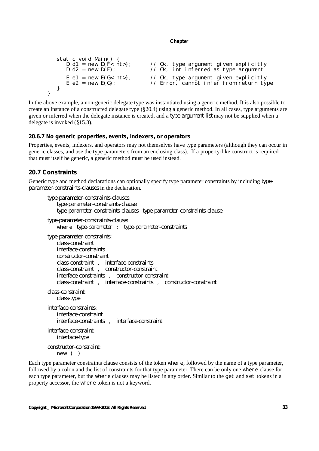```
static void Main() {<br>D d1 = new D(F<int>);
      D d1 = new D(\vec{F}<int>); // Ok, type argument given explicitly<br>D d2 = new D(F); // Ok, int inferred as type argument
      D \ d2 = new D(F);<br>
D \ d2 = new E(G<sub>1</sub>nt>);<br>
D \ d2 = new E(G<sub>2</sub>nt);<br>
D \ d3 = new E(G<sub>2</sub>nt);<br>
D \ d4 = new E(G<sub>1</sub>nt);<br>
D \ d5 = new E(G<sub>2</sub>nt);<br>
D \ d5 = new E(G<sub>2</sub>nt);<br>
D \ d5 = new E(G<sub>1</sub>nt);
       E e1 = new E(G<int>); // Ok, type argument given explicitly<br>E e2 = new E(G); // Error, cannot infer from return typ
                                                                   // Error, cannot infer from return type
}
```
In the above example, a non-generic delegate type was instantiated using a generic method. It is also possible to create an instance of a constructed delegate type (§20.4) using a generic method. In all cases, type arguments are given or inferred when the delegate instance is created, and a *type-argument-list* may not be supplied when a delegate is invoked (§15.3).

### **20.6.7 No generic properties, events, indexers, or operators**

Properties, events, indexers, and operators may not themselves have type parameters (although they can occur in generic classes, and use the type parameters from an enclosing class). If a property-like construct is required that must itself be generic, a generic method must be used instead.

## **20.7 Constraints**

}

Generic type and method declarations can optionally specify type parameter constraints by including *typeparameter-constraints-clauses* in the declaration.

```
type-parameter-constraints-clauses:
    type-parameter-constraints-clause
    type-parameter-constraints-clauses type-parameter-constraints-clause
type-parameter-constraints-clause:
    where type-parameter : type-parameter-constraints
type-parameter-constraints:
    class-constraint
    interface-constraints
    constructor-constraint
    class-constraint , interface-constraints
    class-constraint , constructor-constraint
    interface-constraints , constructor-constraint
    class-constraint , interface-constraints , constructor-constraint
class-constraint:
    class-type
interface-constraints:
    interface-constraint
    interface-constraints , interface-constraint
interface-constraint:
    interface-type
constructor-constraint:
    new ( )
```
Each type parameter constraints clause consists of the token where, followed by the name of a type parameter, followed by a colon and the list of constraints for that type parameter. There can be only one where clause for each type parameter, but the where clauses may be listed in any order. Similar to the get and set tokens in a property accessor, the where token is not a keyword.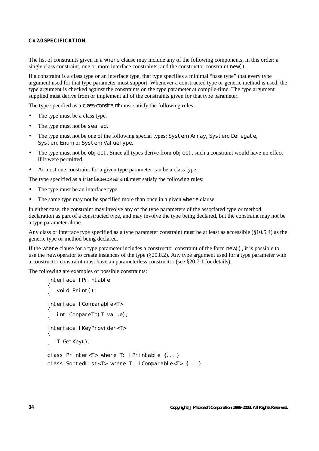The list of constraints given in a where clause may include any of the following components, in this order: a single class constraint, one or more interface constraints, and the constructor constraint  $new()$ .

If a constraint is a class type or an interface type, that type specifies a minimal "base type" that every type argument used for that type parameter must support. Whenever a constructed type or generic method is used, the type argument is checked against the constraints on the type parameter at compile-time. The type argument supplied must derive from or implement all of the constraints given for that type parameter.

The type specified as a *class-constraint* must satisfy the following rules:

- The type must be a class type.
- The type must not be seal ed.
- The type must not be one of the following special types: System. Array, System. Del egate, System. Enum, or System. ValueType.
- The type must not be  $obj$  ect. Since all types derive from  $obj$  ect, such a constraint would have no effect if it were permitted.
- At most one constraint for a given type parameter can be a class type.

The type specified as a *interface-constraint* must satisfy the following rules:

- The type must be an interface type.
- The same type may not be specified more than once in a given where clause.

In either case, the constraint may involve any of the type parameters of the associated type or method declaration as part of a constructed type, and may involve the type being declared, but the constraint may not be a type parameter alone.

Any class or interface type specified as a type parameter constraint must be at least as accessible (§10.5.4) as the generic type or method being declared.

If the where clause for a type parameter includes a constructor constraint of the form new(), it is possible to use the new operator to create instances of the type (§20.8.2). Any type argument used for a type parameter with a constructor constraint must have an parameterless constructor (see §20.7.1 for details).

The following are examples of possible constraints:

```
interface IPrintable
{
   void Print();
}
interface IComparable<T>
{
   int CompareTo(T value);
}
interface IKeyProvider<T>
{
   T GetKey();
}
class Printer<T> where T: IPrintable {...}
class SortedList<T> where T: IComparable<T> {...}
```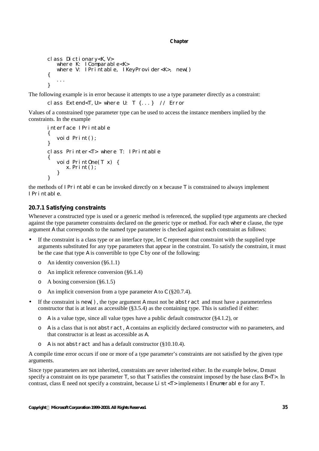```
class Dictionary<K,V>
   where K: I Comparable<K>
   where V: IPrintable, IKeyProvider<K>, new()
{
   ...
}
```
The following example is in error because it attempts to use a type parameter directly as a constraint:

class Extend<T,U> where U: T {...} // Error

Values of a constrained type parameter type can be used to access the instance members implied by the constraints. In the example

```
interface IPrintable
{
   void Print();
}
class Printer<T> where T: IPrintable
{
   void PrintOne(T x) {
      x. Print();
   }
}
```
the methods of  $|P|$ rintable can be invoked directly on  $\times$  because  $\top$  is constrained to always implement IPrintable.

# **20.7.1 Satisfying constraints**

Whenever a constructed type is used or a generic method is referenced, the supplied type arguments are checked against the type parameter constraints declared on the generic type or method. For each where clause, the type argument A that corresponds to the named type parameter is checked against each constraint as follows:

- If the constraint is a class type or an interface type, let  $C$  represent that constraint with the supplied type arguments substituted for any type parameters that appear in the constraint. To satisfy the constraint, it must be the case that type A is convertible to type C by one of the following:
	- o An identity conversion (§6.1.1)
	- o An implicit reference conversion (§6.1.4)
	- o A boxing conversion (§6.1.5)
	- o An implicit conversion from a type parameter A to  $C$  (§20.7.4).
- If the constraint is new(), the type argument A must not be abstract and must have a parameterless constructor that is at least as accessible (§3.5.4) as the containing type. This is satisfied if either:
	- $\circ$  A is a value type, since all value types have a public default constructor (§4.1.2), or
	- o A is a class that is not abstract, A contains an explicitly declared constructor with no parameters, and that constructor is at least as accessible as A.
	- o A is not abstract and has a default constructor (§10.10.4).

A compile time error occurs if one or more of a type parameter's constraints are not satisfied by the given type arguments.

Since type parameters are not inherited, constraints are never inherited either. In the example below, D must specify a constraint on its type parameter  $\top$ , so that  $\top$  satisfies the constraint imposed by the base class  $B<\top$ . In contrast, class E need not specify a constraint, because Li  $st < T$  implements I Enumerable for any T.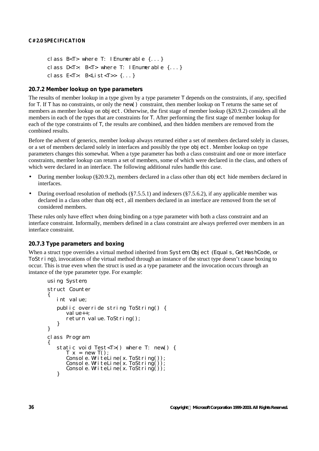```
class B<T> where T: IEnumerable {...}
class D<T>: B<T> where T: IEnumerable {...}
class E<T>: B<List<T>> {...}
```
## **20.7.2 Member lookup on type parameters**

The results of member lookup in a type given by a type parameter  $\top$  depends on the constraints, if any, specified for T. If T has no constraints, or only the new() constraint, then member lookup on T returns the same set of members as member lookup on  $\phi$  ect. Otherwise, the first stage of member lookup (§20.9.2) considers all the members in each of the types that are constraints for T. After performing the first stage of member lookup for each of the type constraints of T, the results are combined, and then hidden members are removed from the combined results.

Before the advent of generics, member lookup always returned either a set of members declared solely in classes, or a set of members declared solely in interfaces and possibly the type object. Member lookup on type parameters changes this somewhat. When a type parameter has both a class constraint and one or more interface constraints, member lookup can return a set of members, some of which were declared in the class, and others of which were declared in an interface. The following additional rules handle this case.

- During member lookup ( $\S 20.9.2$ ), members declared in a class other than object hide members declared in interfaces.
- During overload resolution of methods ( $\S7.5.5.1$ ) and indexers ( $\S7.5.6.2$ ), if any applicable member was declared in a class other than object, all members declared in an interface are removed from the set of considered members.

These rules only have effect when doing binding on a type parameter with both a class constraint and an interface constraint. Informally, members defined in a class constraint are always preferred over members in an interface constraint.

## **20.7.3 Type parameters and boxing**

When a struct type overrides a virtual method inherited from System. Object (Equals, GetHashCode, or ToString), invocations of the virtual method through an instance of the struct type doesn't cause boxing to occur. This is true even when the struct is used as a type parameter and the invocation occurs through an instance of the type parameter type. For example:

```
using System;
struct Counter
{
   int value;
   public override string ToString() {
      val ue++;
      return value. ToString();
   }
}
class Program
{
   static void Test<T>() where T: new() {
      T x = new T();
      console. WriteLine(x. ToString());
      Console.WriteLine(x.ToString());
      Console.WriteLine(x.ToString());
   }
```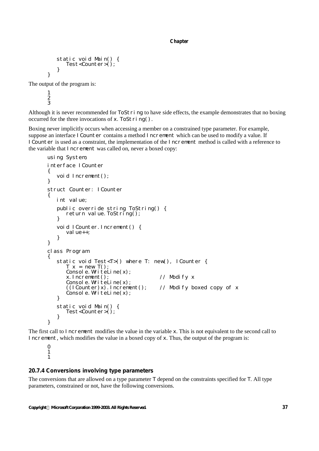```
static void Main() {
   Test<Counter>();
}
```
The output of the program is:

```
1
\overline{2}\overline{3}
```
 $\mathbf{a}$ 

Although it is never recommended for ToString to have side effects, the example demonstrates that no boxing occurred for the three invocations of  $x$ . ToString().

Boxing never implicitly occurs when accessing a member on a constrained type parameter. For example, suppose an interface I Counter contains a method I ncrement which can be used to modify a value. If ICounter is used as a constraint, the implementation of the Increment method is called with a reference to the variable that Increment was called on, never a boxed copy:

```
using System;
interface ICounter
{
   void Increment();
}
struct Counter: ICounter
{
   int value;
   public override string ToString() {
      return value. ToString();
   }
   void ICounter.Increment() {
      val ue++;
   }
}
class Program
{
   static void Test<T>() where T: new(), I Counter {
      T \times = new T();
      Console. WriteLine(x);
      x.Increment(); // Modify x
      Console. WriteLine(x);
      ((I Counter)x). Increment(); // Modify boxed copy of x
      \dot{C}onsole. WriteLine(x);
   }
   static void Main() {
      Test<Counter>();
   }
}
```
The first call to Increment modifies the value in the variable x. This is not equivalent to the second call to Increment, which modifies the value in a boxed copy of  $\times$ . Thus, the output of the program is:

 $\overline{O}$ 1 1

## **20.7.4 Conversions involving type parameters**

The conversions that are allowed on a type parameter  $\top$  depend on the constraints specified for  $\top$ . All type parameters, constrained or not, have the following conversions.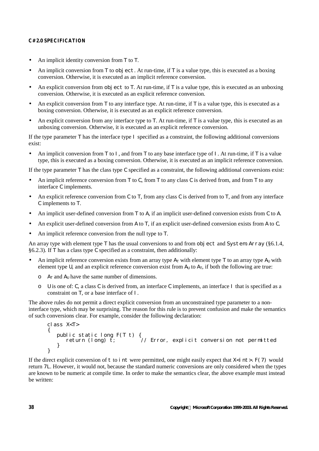- An implicit identity conversion from  $\top$  to  $\top$ .
- An implicit conversion from  $\top$  to object. At run-time, if  $\top$  is a value type, this is executed as a boxing conversion. Otherwise, it is executed as an implicit reference conversion.
- An explicit conversion from object to T. At run-time, if  $T$  is a value type, this is executed as an unboxing conversion. Otherwise, it is executed as an explicit reference conversion.
- An explicit conversion from  $\top$  to any interface type. At run-time, if  $\top$  is a value type, this is executed as a boxing conversion. Otherwise, it is executed as an explicit reference conversion.
- An explicit conversion from any interface type to  $\top$ . At run-time, if  $\top$  is a value type, this is executed as an unboxing conversion. Otherwise, it is executed as an explicit reference conversion.

If the type parameter  $\top$  has the interface type  $\bot$  specified as a constraint, the following additional conversions exist:

• An implicit conversion from  $\top$  to  $\top$ , and from  $\top$  to any base interface type of  $\top$ . At run-time, if  $\top$  is a value type, this is executed as a boxing conversion. Otherwise, it is executed as an implicit reference conversion.

If the type parameter  $\top$  has the class type C specified as a constraint, the following additional conversions exist:

- An implicit reference conversion from  $\top$  to  $\text{C}$ , from  $\top$  to any class  $\text{C}$  is derived from, and from  $\top$  to any interface C implements.
- An explicit reference conversion from C to T, from any class C is derived from to T, and from any interface C implements to T.
- An implicit user-defined conversion from  $\top$  to A, if an implicit user-defined conversion exists from  $\subset$  to A.
- An explicit user-defined conversion from A to  $\top$ , if an explicit user-defined conversion exists from A to C.
- An implicit reference conversion from the null type to  $\top$ .

An array type with element type  $\top$  has the usual conversions to and from object and System. Array (§6.1.4, §6.2.3). If  $\top$  has a class type  $\circ$  specified as a constraint, then additionally:

- An implicit reference conversion exists from an array type  $A_T$  with element type  $T$  to an array type  $A_U$  with element type U, and an explicit reference conversion exist from  $A_U$  to  $A_T$ , if both the following are true:
	- $\circ$  A<sub>T</sub> and A<sub>U</sub> have the same number of dimensions.
	- $\circ$  U is one of: C, a class C is derived from, an interface C implements, an interface  $\upharpoonright$  that is specified as a constraint on T, or a base interface of I.

The above rules do not permit a direct explicit conversion from an unconstrained type parameter to a noninterface type, which may be surprising. The reason for this rule is to prevent confusion and make the semantics of such conversions clear. For example, consider the following declaration:

```
class X<T>
{
   public static long F(T t) {
      return (long) t; // Error, explicit conversion not permitted
   }
}
```
If the direct explicit conversion of t to int were permitted, one might easily expect that  $X *i*nt> F(7)$  would return 7L. However, it would not, because the standard numeric conversions are only considered when the types are known to be numeric at compile time. In order to make the semantics clear, the above example must instead be written: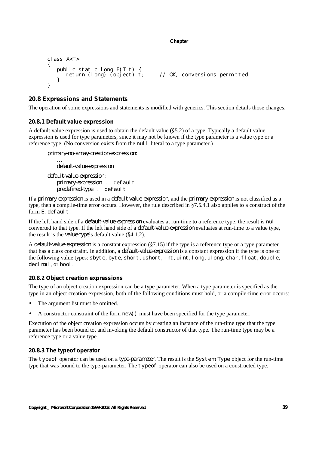```
class X<T>
{
    public static long F(T t) {<br>return (long) (object) t;
                                            // OK, conversions permitted
    }
}
```
## **20.8 Expressions and Statements**

The operation of some expressions and statements is modified with generics. This section details those changes.

### **20.8.1 Default value expression**

A default value expression is used to obtain the default value (§5.2) of a type. Typically a default value expression is used for type parameters, since it may not be known if the type parameter is a value type or a reference type. (No conversion exists from the nul literal to a type parameter.)

*primary-no-array-creation-expression:*

*… default-value-expression default-value-expression: primary-expression* . default *predefined-type* . default

If a *primary-expression* is used in a *default-value-expression*, and the *primary-expression* is not classified as a type, then a compile-time error occurs. However, the rule described in §7.5.4.1 also applies to a construct of the form E. defaul t.

If the left hand side of a *default-value-expression* evaluates at run-time to a reference type, the result is null converted to that type. If the left hand side of a *default-value-expression* evaluates at run-time to a value type, the result is the *value-type*'s default value (§4.1.2).

A *default-value-expression* is a constant expression (§7.15) if the type is a reference type or a type parameter that has a class constraint. In addition, a *default-value-expression* is a constant expression if the type is one of the following value types: sbyte, byte, short, ushort, int, uint, long, ulong, char, float, double, decimal, or bool.

## **20.8.2 Object creation expressions**

The type of an object creation expression can be a type parameter. When a type parameter is specified as the type in an object creation expression, both of the following conditions must hold, or a compile-time error occurs:

- The argument list must be omitted.
- A constructor constraint of the form new() must have been specified for the type parameter.

Execution of the object creation expression occurs by creating an instance of the run-time type that the type parameter has been bound to, and invoking the default constructor of that type. The run-time type may be a reference type or a value type.

## **20.8.3 The typeof operator**

The typeof operator can be used on a *type-parameter*. The result is the System.Type object for the run-time type that was bound to the type-parameter. The typeof operator can also be used on a constructed type.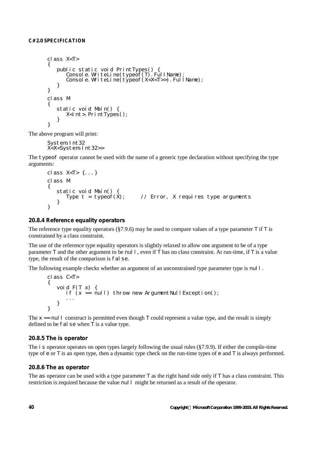```
class X<T>
{
   public static void PrintTypes() {
      Console.WriteLine(typeof(T).FullName);
      Console.WriteLine(typeof(X<X<T>>).FullName);
   }
}
class M
{
   static void Main() {
      X<i nt>. PrintTypes();
   }
}
```
The above program will print:

System.Int32 X<X<System.Int32>>

The typeof operator cannot be used with the name of a generic type declaration without specifying the type arguments:

```
class X<T> {...}
class M
{
    static void Main() {<br>Type t = typeof(X);
                                      1/ Error, X requires type arguments
    }
}
```
## **20.8.4 Reference equality operators**

The reference type equality operators (§7.9.6) may be used to compare values of a type parameter  $\top$  if  $\top$  is constrained by a class constraint.

The use of the reference type equality operators is slightly relaxed to allow one argument to be of a type parameter  $\top$  and the other argument to be null, even if  $\top$  has no class constraint. At run-time, if  $\top$  is a value type, the result of the comparison is false.

The following example checks whether an argument of an unconstrained type parameter type is null.

```
class C<T>
{
   void F(T x) {
      if (x == null) throw new ArgumentNullException();
      ...
   }
}
```
The  $x =$  null construct is permitted even though  $\top$  could represent a value type, and the result is simply defined to be fal se when  $\top$  is a value type.

## **20.8.5 The is operator**

The  $\mathbf i$  s operator operates on open types largely following the usual rules (§7.9.9). If either the compile-time type of  $\in$  or  $\top$  is an open type, then a dynamic type check on the run-time types of  $\in$  and  $\top$  is always performed.

## **20.8.6 The as operator**

The as operator can be used with a type parameter  $\top$  as the right hand side only if  $\top$  has a class constraint. This restriction is required because the value nul  $\vert \cdot \vert$  might be returned as a result of the operator.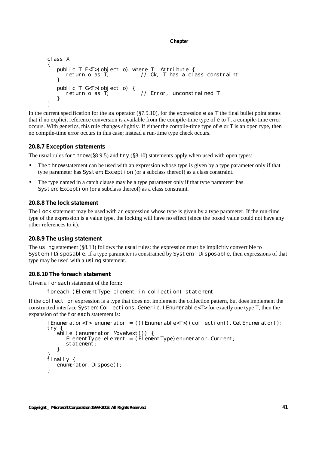```
class X
{
   public T F<T>(object o) where T: Attribute {
      return o as T; // Ok, T has a class constraint
   }
   public T G<T>(object o) {
                             // Error, unconstrained T
   }
}
```
In the current specification for the as operator (§7.9.10), for the expression  $e$  as  $\top$  the final bullet point states that if no explicit reference conversion is available from the compile-time type of e to T, a compile-time error occurs. With generics, this rule changes slightly. If either the compile-time type of  $\in$  or  $\top$  is an open type, then no compile-time error occurs in this case; instead a run-time type check occurs.

## **20.8.7 Exception statements**

The usual rules for throw (§8.9.5) and  $\text{tr} \vee$  (§8.10) statements apply when used with open types:

- The throw statement can be used with an expression whose type is given by a type parameter only if that type parameter has System.Exception (or a subclass thereof) as a class constraint.
- The type named in a catch clause may be a type parameter only if that type parameter has System. Exception (or a subclass thereof) as a class constraint.

## **20.8.8 The lock statement**

The  $\vert$  ock statement may be used with an expression whose type is given by a type parameter. If the run-time type of the expression is a value type, the locking will have no effect (since the boxed value could not have any other references to it).

## **20.8.9 The using statement**

The using statement (§8.13) follows the usual rules: the expression must be implicitly convertible to System. I Disposable. If a type parameter is constrained by System. I Disposable, then expressions of that type may be used with a using statement.

## **20.8.10 The foreach statement**

Given a foreach statement of the form:

```
foreach (ElementType element in collection) statement
```
If the collection expression is a type that does not implement the collection pattern, but does implement the constructed interface System. Collections. Generic. I Enumerable  $\le$  T> for exactly one type T, then the expansion of the foreach statement is:

```
IEnumerator<T> enumerator = ((IEnumerable<T>)(collection)).GetEnumerator();
try {
   while (enumerator.MoveNext()) {
      ElementType element = (\hat{E}lementType)enumerator. Current;
      statement;
   }
}
finally {
   enumerator. Dispose();
}
```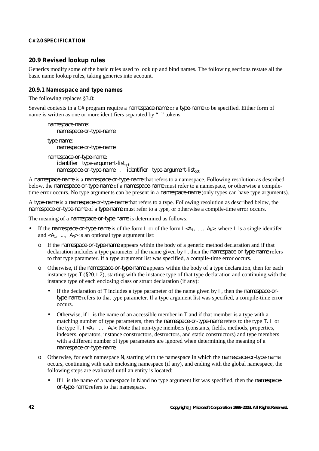# **20.9 Revised lookup rules**

Generics modify some of the basic rules used to look up and bind names. The following sections restate all the basic name lookup rules, taking generics into account.

## **20.9.1 Namespace and type names**

The following replaces §3.8:

Several contexts in a C# program require a *namespace-name* or a *type-name* to be specified. Either form of name is written as one or more identifiers separated by ". " tokens.

```
namespace-name:
   namespace-or-type-name
```
*type-name: namespace-or-type-name*

*namespace-or-type-name: identifier type-argument-listopt namespace-or-type-name* . *identifier type-argument-listopt*

A *namespace-name* is a *namespace-or-type-name* that refers to a namespace. Following resolution as described below, the *namespace-or-type-name* of a *namespace-name* must refer to a namespace, or otherwise a compiletime error occurs. No type arguments can be present in a *namespace-name* (only types can have type arguments).

A *type-name* is a *namespace-or-type-name* that refers to a type. Following resolution as described below, the *namespace-or-type-name* of a *type-name* must refer to a type, or otherwise a compile-time error occurs.

The meaning of a *namespace-or-type-name* is determined as follows:

- If the *namespace-or-type-name* is of the form  $\vert$  or of the form  $\vert$  <A<sub>1</sub>, ..., A<sub>N</sub>>, where  $\vert$  is a single identifer and  $\langle A_1, \ldots, A_N \rangle$  is an optional type argument list:
	- o If the *namespace-or-type-name* appears within the body of a generic method declaration and if that declaration includes a type parameter of the name given by I, then the *namespace-or-type-name* refers to that type parameter. If a type argument list was specified, a compile-time error occurs.
	- o Otherwise, if the *namespace-or-type-name* appears within the body of a type declaration, then for each instance type  $\top$  (§20.1.2), starting with the instance type of that type declaration and continuing with the instance type of each enclosing class or struct declaration (if any):
		- If the declaration of T includes a type parameter of the name given by I, then the *namespace-ortype-name* refers to that type parameter. If a type argument list was specified, a compile-time error occurs.
		- Otherwise, if  $\vert$  is the name of an accessible member in  $\tau$  and if that member is a type with a matching number of type parameters, then the *namespace-or-type-name* refers to the type T.I or the type  $T_1 \mid A_1, \ldots, A_N$ . Note that non-type members (constants, fields, methods, properties, indexers, operators, instance constructors, destructors, and static constructors) and type members with a different number of type parameters are ignored when determining the meaning of a *namespace-or-type-name*.
	- o Otherwise, for each namespace N, starting with the namespace in which the *namespace-or-type-name* occurs, continuing with each enclosing namespace (if any), and ending with the global namespace, the following steps are evaluated until an entity is located:
		- If I is the name of a namespace in N and no type argument list was specified, then the *namespaceor-type-name* refers to that namespace.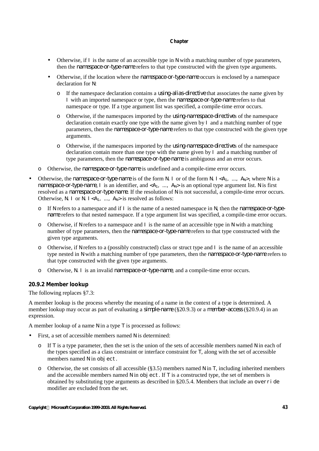- Otherwise, if  $\perp$  is the name of an accessible type in N with a matching number of type parameters, then the *namespace-or-type-name* refers to that type constructed with the given type arguments.
- Otherwise, if the location where the *namespace-or-type-name* occurs is enclosed by a namespace declaration for N:
	- o If the namespace declaration contains a *using-alias-directive* that associates the name given by I with an imported namespace or type, then the *namespace-or-type-name* refers to that namespace or type. If a type argument list was specified, a compile-time error occurs.
	- o Otherwise, if the namespaces imported by the *using-namespace-directive*s of the namespace declaration contain exactly one type with the name given by  $\perp$  and a matching number of type parameters, then the *namespace-or-type-name* refers to that type constructed with the given type arguments.
	- o Otherwise, if the namespaces imported by the *using-namespace-directive*s of the namespace declaration contain more than one type with the name given by  $\perp$  and a matching number of type parameters, then the *namespace-or-type-name* is ambiguous and an error occurs.
- o Otherwise, the *namespace-or-type-name* is undefined and a compile-time error occurs.
- Otherwise, the *namespace-or-type-name* is of the form  $N$ .  $\vdash$  or of the form  $N$ .  $\vdash *A*<sub>1</sub>, ..., *A*<sub>N</sub>$ , where  $N$  is a *namespace-or-type-name*,  $\vert$  is an identifier, and <A<sub>1</sub>, ..., A<sub>N</sub>> is an optional type argument list. N is first resolved as a *namespace-or-type-name*. If the resolution of N is not successful, a compile-time error occurs. Otherwise,  $N_1$  or  $N_2$   $\leq A_1$ , ...,  $A_N >$  is resolved as follows:
	- o If N refers to a namespace and if I is the name of a nested namespace in N, then the *namespace-or-typename* refers to that nested namespace. If a type argument list was specified, a compile-time error occurs.
	- $\circ$  Otherwise, if N refers to a namespace and  $\vdots$  is the name of an accessible type in N with a matching number of type parameters, then the *namespace-or-type-name* refers to that type constructed with the given type arguments.
	- $\circ$  Otherwise, if N refers to a (possibly constructed) class or struct type and  $\vdash$  is the name of an accessible type nested in N with a matching number of type parameters, then the *namespace-or-type-name* refers to that type constructed with the given type arguments.
	- o Otherwise, N.I is an invalid *namespace-or-type-name*, and a compile-time error occurs.

# **20.9.2 Member lookup**

The following replaces §7.3:

A member lookup is the process whereby the meaning of a name in the context of a type is determined. A member lookup may occur as part of evaluating a *simple-name* (§20.9.3) or a *member-access* (§20.9.4) in an expression.

A member lookup of a name  $N$  in a type  $T$  is processed as follows:

- First, a set of accessible members named  $N$  is determined:
	- $\circ$  If T is a type parameter, then the set is the union of the sets of accessible members named N in each of the types specified as a class constraint or interface constraint for  $\top$ , along with the set of accessible members named  $N$  in object.
	- $\circ$  Otherwise, the set consists of all accessible (§3.5) members named N in T, including inherited members and the accessible members named  $N$  in  $obj$  ect. If  $T$  is a constructed type, the set of members is obtained by substituting type arguments as described in  $\S 20.5.4$ . Members that include an override modifier are excluded from the set.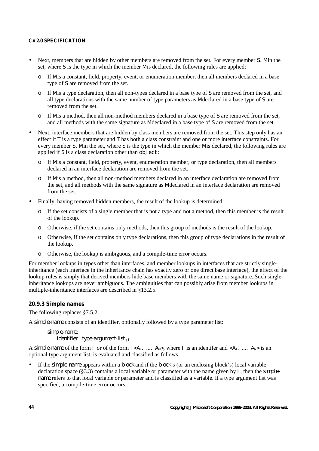- Next, members that are hidden by other members are removed from the set. For every member S. M in the set, where S is the type in which the member M is declared, the following rules are applied:
	- o If M is a constant, field, property, event, or enumeration member, then all members declared in a base type of S are removed from the set.
	- o If M is a type declaration, then all non-types declared in a base type of S are removed from the set, and all type declarations with the same number of type parameters as M declared in a base type of S are removed from the set.
	- $\circ$  If M is a method, then all non-method members declared in a base type of S are removed from the set, and all methods with the same signature as M declared in a base type of S are removed from the set.
- Next, interface members that are hidden by class members are removed from the set. This step only has an effect if  $\top$  is a type parameter and  $\top$  has both a class constraint and one or more interface constraints. For every member S.M in the set, where S is the type in which the member M is declared, the following rules are applied if  $S$  is a class declaration other than object:
	- $\circ$  If M is a constant, field, property, event, enumeration member, or type declaration, then all members declared in an interface declaration are removed from the set.
	- o If M is a method, then all non-method members declared in an interface declaration are removed from the set, and all methods with the same signature as M declared in an interface declaration are removed from the set.
- Finally, having removed hidden members, the result of the lookup is determined:
	- o If the set consists of a single member that is not a type and not a method, then this member is the result of the lookup.
	- o Otherwise, if the set contains only methods, then this group of methods is the result of the lookup.
	- o Otherwise, if the set contains only type declarations, then this group of type declarations in the result of the lookup.
	- o Otherwise, the lookup is ambiguous, and a compile-time error occurs.

For member lookups in types other than interfaces, and member lookups in interfaces that are strictly singleinheritance (each interface in the inheritance chain has exactly zero or one direct base interface), the effect of the lookup rules is simply that derived members hide base members with the same name or signature. Such singleinheritance lookups are never ambiguous. The ambiguities that can possibly arise from member lookups in multiple-inheritance interfaces are described in §13.2.5.

## **20.9.3 Simple names**

The following replaces §7.5.2:

A *simple-name* consists of an identifier, optionally followed by a type parameter list:

```
simple-name:
    identifier type-argument-listopt
```
A *simple-name* of the form I or of the form I<A1, ..., AN>, where I is an identifer and <A1, ..., AN> is an optional type argument list, is evaluated and classified as follows:

• If the *simple-name* appears within a *block* and if the *block*'s (or an enclosing block's) local variable declaration space (§3.3) contains a local variable or parameter with the name given by I, then the *simplename* refers to that local variable or parameter and is classified as a variable. If a type argument list was specified, a compile-time error occurs.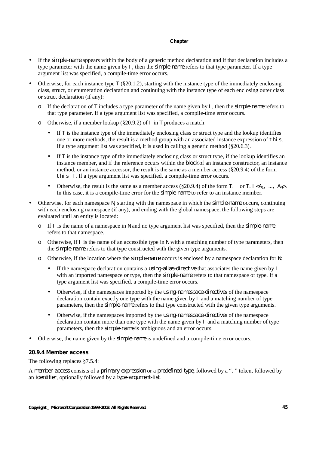- If the *simple-name* appears within the body of a generic method declaration and if that declaration includes a type parameter with the name given by I, then the *simple-name* refers to that type parameter. If a type argument list was specified, a compile-time error occurs.
- Otherwise, for each instance type  $\top$  (§20.1.2), starting with the instance type of the immediately enclosing class, struct, or enumeration declaration and continuing with the instance type of each enclosing outer class or struct declaration (if any):
	- $\circ$  If the declaration of  $\top$  includes a type parameter of the name given by  $\top$ , then the *simple-name* refers to that type parameter. If a type argument list was specified, a compile-time error occurs.
	- o Otherwise, if a member lookup (§20.9.2) of  $\vdash$  in  $\top$  produces a match:
		- If  $\top$  is the instance type of the immediately enclosing class or struct type and the lookup identifies one or more methods, the result is a method group with an associated instance expression of this. If a type argument list was specified, it is used in calling a generic method (§20.6.3).
		- If  $\top$  is the instance type of the immediately enclosing class or struct type, if the lookup identifies an instance member, and if the reference occurs within the *block* of an instance constructor, an instance method, or an instance accessor, the result is the same as a member access (§20.9.4) of the form this.I. If a type argument list was specified, a compile-time error occurs.
		- Otherwise, the result is the same as a member access (\$20.9.4) of the form  $T_1$  or  $T_1$   $\leq A_1$ , ...,  $A_N$ . In this case, it is a compile-time error for the *simple-name* to refer to an instance member.
- Otherwise, for each namespace N, starting with the namespace in which the *simple-name* occurs, continuing with each enclosing namespace (if any), and ending with the global namespace, the following steps are evaluated until an entity is located:
	- o If I is the name of a namespace in N and no type argument list was specified, then the *simple-name* refers to that namespace.
	- $\circ$  Otherwise, if I is the name of an accessible type in N with a matching number of type parameters, then the *simple-name* refers to that type constructed with the given type arguments.
	- o Otherwise, if the location where the *simple-name* occurs is enclosed by a namespace declaration for N:
		- If the namespace declaration contains a *using-alias-directive* that associates the name given by I with an imported namespace or type, then the *simple-name* refers to that namespace or type. If a type argument list was specified, a compile-time error occurs.
		- Otherwise, if the namespaces imported by the *using-namespace-directive*s of the namespace declaration contain exactly one type with the name given by  $\vert$  and a matching number of type parameters, then the *simple-name* refers to that type constructed with the given type arguments.
		- Otherwise, if the namespaces imported by the *using-namespace-directive*s of the namespace declaration contain more than one type with the name given by  $\vert$  and a matching number of type parameters, then the *simple-name* is ambiguous and an error occurs.
- Otherwise, the name given by the *simple-name* is undefined and a compile-time error occurs.

## **20.9.4 Member access**

The following replaces §7.5.4:

A *member-access* consists of a *primary-expression* or a *predefined-type*, followed by a "." token, followed by an *identifier*, optionally followed by a *type-argument-list*.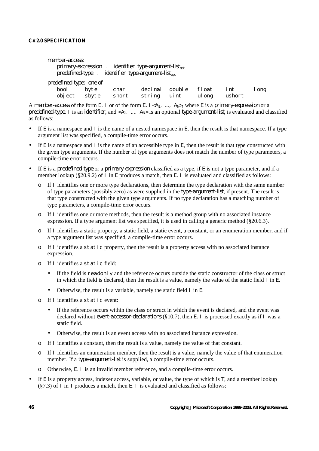*member-access: primary-expression* . *identifier type-argument-listopt predefined-type* . *identifier type-argument-listopt*

*predefined-type: one of*

bool byte char decimal double float int long object sbyte short string uint ulong ushort

A *member-access* of the form E. I or of the form E. I <A<sub>1</sub>, ..., A<sub>N</sub>>, where E is a *primary-expression* or a *predefined-type*, I is an *identifier*, and <A<sub>1</sub>, ..., A<sub>N</sub>> is an optional *type-argument-list*, is evaluated and classified as follows:

- If  $E$  is a namespace and  $\perp$  is the name of a nested namespace in  $E$ , then the result is that namespace. If a type argument list was specified, a compile-time error occurs.
- If  $E$  is a namespace and  $\vdash$  is the name of an accessible type in  $E$ , then the result is that type constructed with the given type arguments. If the number of type arguments does not match the number of type parameters, a compile-time error occurs.
- If E is a *predefined-type* or a *primary-expression* classified as a type, if E is not a type parameter, and if a member lookup (§20.9.2) of  $\vdash$  in  $\epsilon$  produces a match, then  $\epsilon$ .  $\vdash$  is evaluated and classified as follows:
	- $\circ$  If  $\perp$  identifies one or more type declarations, then determine the type declaration with the same number of type parameters (possibly zero) as were supplied in the *type-argument-list*, if present. The result is that type constructed with the given type arguments. If no type declaration has a matching number of type parameters, a compile-time error occurs.
	- $\circ$  If | identifies one or more methods, then the result is a method group with no associated instance expression. If a type argument list was specified, it is used in calling a generic method (§20.6.3).
	- o If I identifies a static property, a static field, a static event, a constant, or an enumeration member, and if a type argument list was specified, a compile-time error occurs.
	- o If I identifies a static property, then the result is a property access with no associated instance expression.
	- $\circ$  If  $\vdash$  identifies a static field:
		- If the field is readonly and the reference occurs outside the static constructor of the class or struct in which the field is declared, then the result is a value, namely the value of the static field  $\vert$  in  $E$ .
		- Otherwise, the result is a variable, namely the static field  $\perp$  in E.
	- o If I identifies a static event:
		- If the reference occurs within the class or struct in which the event is declared, and the event was declared without *event-accessor-declarations* (§10.7), then E.I is processed exactly as if I was a static field.
		- Otherwise, the result is an event access with no associated instance expression.
	- $\circ$  If | identifies a constant, then the result is a value, namely the value of that constant.
	- $\circ$  If  $\perp$  identifies an enumeration member, then the result is a value, namely the value of that enumeration member. If a *type-argument-list* is supplied, a compile-time error occurs.
	- o Otherwise, E.I is an invalid member reference, and a compile-time error occurs.
- If  $E$  is a property access, indexer access, variable, or value, the type of which is  $T$ , and a member lookup  $(\S7.3)$  of  $\vdash$  in  $\top$  produces a match, then E.  $\vdash$  is evaluated and classified as follows: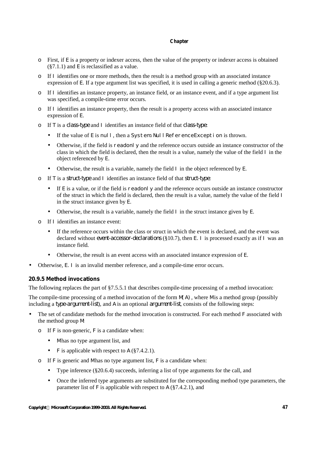- $\circ$  First, if E is a property or indexer access, then the value of the property or indexer access is obtained  $(\S7.1.1)$  and E is reclassified as a value.
- $\circ$  If | identifies one or more methods, then the result is a method group with an associated instance expression of E. If a type argument list was specified, it is used in calling a generic method (§20.6.3).
- o If I identifies an instance property, an instance field, or an instance event, and if a type argument list was specified, a compile-time error occurs.
- $\circ$  If  $\perp$  identifies an instance property, then the result is a property access with an associated instance expression of E.
- o If T is a *class-type* and I identifies an instance field of that *class-type*:
	- If the value of  $E$  is null, then a System. Null Reference Exception is thrown.
	- Otherwise, if the field is readonly and the reference occurs outside an instance constructor of the class in which the field is declared, then the result is a value, namely the value of the field  $\parallel$  in the object referenced by E.
	- Otherwise, the result is a variable, namely the field  $\perp$  in the object referenced by  $E$ .
- o If T is a *struct-type* and I identifies an instance field of that *struct-type*:
	- $\bullet$  If E is a value, or if the field is readonly and the reference occurs outside an instance constructor of the struct in which the field is declared, then the result is a value, namely the value of the field I in the struct instance given by E.
	- Otherwise, the result is a variable, namely the field  $\perp$  in the struct instance given by  $E$ .
- o If I identifies an instance event:
	- If the reference occurs within the class or struct in which the event is declared, and the event was declared without *event-accessor-declarations* (§10.7), then E.I is processed exactly as if I was an instance field.
	- Otherwise, the result is an event access with an associated instance expression of E.
- Otherwise, E.I is an invalid member reference, and a compile-time error occurs.

## **20.9.5 Method invocations**

The following replaces the part of §7.5.5.1 that describes compile-time processing of a method invocation:

The compile-time processing of a method invocation of the form  $M(A)$ , where M is a method group (possibly including a *type-argument-list*), and A is an optional *argument-list*, consists of the following steps:

- The set of candidate methods for the method invocation is constructed. For each method F associated with the method group M:
	- o If  $\overline{\varepsilon}$  is non-generic,  $\overline{\varepsilon}$  is a candidate when:
		- M has no type argument list, and
		- F is applicable with respect to  $A(87.4.2.1)$ .
	- $\circ$  If F is generic and M has no type argument list, F is a candidate when:
		- Type inference (§20.6.4) succeeds, inferring a list of type arguments for the call, and
		- Once the inferred type arguments are substituted for the corresponding method type parameters, the parameter list of  $F$  is applicable with respect to A (§7.4.2.1), and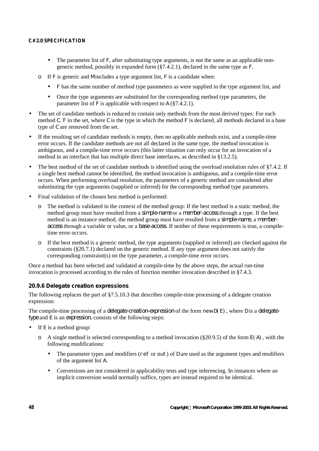- The parameter list of F, after substituting type arguments, is not the same as an applicable nongeneric method, possibly in expanded form (§7.4.2.1), declared in the same type as F.
- $\circ$  If F is generic and M includes a type argument list, F is a candidate when:
	- F has the same number of method type parameters as were supplied in the type argument list, and
	- Once the type arguments are substituted for the corresponding method type parameters, the parameter list of  $\overline{F}$  is applicable with respect to A (§7.4.2.1).
- The set of candidate methods is reduced to contain only methods from the most derived types: For each method C.F in the set, where C is the type in which the method F is declared, all methods declared in a base type of C are removed from the set.
- If the resulting set of candidate methods is empty, then no applicable methods exist, and a compile-time error occurs. If the candidate methods are not all declared in the same type, the method invocation is ambiguous, and a compile-time error occurs (this latter situation can only occur for an invocation of a method in an interface that has multiple direct base interfaces, as described in §13.2.5).
- The best method of the set of candidate methods is identified using the overload resolution rules of §7.4.2. If a single best method cannot be identified, the method invocation is ambiguous, and a compile-time error occurs. When performing overload resolution, the parameters of a generic method are considered after substituting the type arguments (supplied or inferred) for the corresponding method type parameters.
- Final validation of the chosen best method is performed:
	- o The method is validated in the context of the method group: If the best method is a static method, the method group must have resulted from a *simple-name* or a *member-access* through a type. If the best method is an instance method, the method group must have resulted from a *simple-name*, a *memberaccess* through a variable or value, or a *base-access*. If neither of these requirements is true, a compiletime error occurs.
	- o If the best method is a generic method, the type arguments (supplied or inferred) are checked against the constraints (§20.7.1) declared on the generic method. If any type argument does not satisfy the corresponding constraint(s) on the type parameter, a compile-time error occurs.

Once a method has been selected and validated at compile-time by the above steps, the actual run-time invocation is processed according to the rules of function member invocation described in §7.4.3.

## **20.9.6 Delegate creation expressions**

The following replaces the part of §7.5.10.3 that describes compile-time processing of a delegate creation expression:

The compile-time processing of a *delegate-creation-expression* of the form new D(E), where D is a *delegatetype* and E is an *expression*, consists of the following steps:

- If  $E$  is a method group:
	- $\circ$  A single method is selected corresponding to a method invocation (§20.9.5) of the form  $E(A)$ , with the following modifications:
		- The parameter types and modifiers ( $ref$  or out) of D are used as the argument types and modifiers of the argument list A.
		- Conversions are not considered in applicability tests and type inferencing. In instances where an implicit conversion would normally suffice, types are instead required to be identical.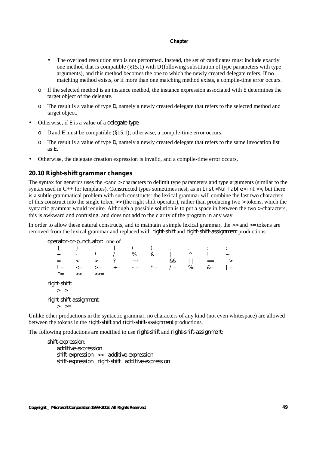- The overload resolution step is not performed. Instead, the set of candidates must include exactly one method that is compatible (§15.1) with D (following substitution of type parameters with type arguments), and this method becomes the one to which the newly created delegate refers. If no matching method exists, or if more than one matching method exists, a compile-time error occurs.
- $\circ$  If the selected method is an instance method, the instance expression associated with E determines the target object of the delegate.
- o The result is a value of type D, namely a newly created delegate that refers to the selected method and target object.
- Otherwise, if E is a value of a *delegate-type*:
	- $\circ$  D and E must be compatible (§15.1); otherwise, a compile-time error occurs.
	- o The result is a value of type D, namely a newly created delegate that refers to the same invocation list as E.
- Otherwise, the delegate creation expression is invalid, and a compile-time error occurs.

## **20.10 Right-shift grammar changes**

The syntax for generics uses the  $\lt$  and  $\gt$  characters to delimit type parameters and type arguments (similar to the syntax used in C++ for templates). Constructed types sometimes nest, as in Li  $\leq t$ <Nullable <i  $nt$ >>, but there is a subtle grammatical problem with such constructs: the lexical grammar will combine the last two characters of this construct into the single token >> (the right shift operator), rather than producing two > tokens, which the syntactic grammar would require. Although a possible solution is to put a space in between the two  $>$  characters, this is awkward and confusing, and does not add to the clarity of the program in any way.

In order to allow these natural constructs, and to maintain a simple lexical grammar, the  $\gg$  and  $\gg$ = tokens are removed from the lexical grammar and replaced with *right-shift* and *right-shift-assignment* productions:

| operator-or-punctuator: one of  |         |            |      |       |       |       |              |      |      |
|---------------------------------|---------|------------|------|-------|-------|-------|--------------|------|------|
|                                 |         |            |      |       |       | ٠     | $\mathbf{I}$ |      |      |
| $^{+}$                          |         | $^{\star}$ |      | $\%$  | &     |       | Λ            |      | ~    |
|                                 | $\,<\,$ | $\rm{>}$   |      | $+ +$ |       | &&    |              |      | $ >$ |
| $=$                             | $\lt =$ | $>=$       | $+=$ | - =   | $x =$ | $/$ = | $% =$        | $&=$ | $=$  |
| $^{\wedge}$ $=$                 | <<      | $<<=$      |      |       |       |       |              |      |      |
| right-shift:<br>$\geq$<br>>     |         |            |      |       |       |       |              |      |      |
| right-shift-assignment:<br>$>=$ |         |            |      |       |       |       |              |      |      |

Unlike other productions in the syntactic grammar, no characters of any kind (not even whitespace) are allowed between the tokens in the *right-shift* and *right-shift-assignment* productions.

The following productions are modified to use *right-shift* and *right-shift-assignment*:

*shift-expression: additive-expression shift-expression* << *additive-expression shift-expression right-shift additive-expression*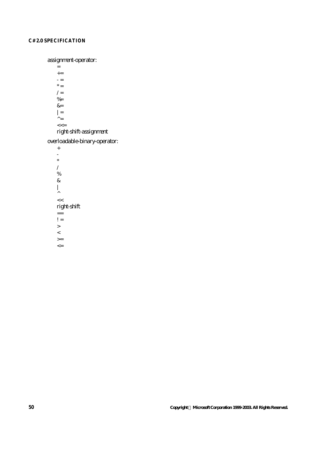*assignment-operator:*

=  $+$   $=$  $-$ \*=  $/$ =  $% =$  $&=$ |=  $\Delta_{\equiv}$  $<<$ 

*right-shift-assignment*

*overloadable-binary-operator:*

+ - \* / % & |  $\lambda$  $\lt$ *right-shift*  $=$   $=$  $\frac{1}{2}$  $\, > \,$  $\,<$ 

 $>$  $\lt$   $=$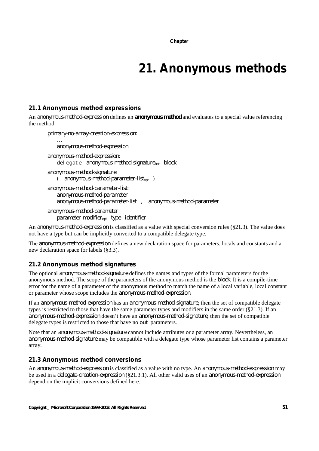# **21. Anonymous methods**

# **21.1 Anonymous method expressions**

An *anonymous-method-expression* defines an *anonymous method* and evaluates to a special value referencing the method:

*primary-no-array-creation-expression: … anonymous-method-expression anonymous-method-expression:* delegate *anonymous-method-signatureopt block anonymous-method-signature:* ( *anonymous-method-parameter-listopt* ) *anonymous-method-parameter-list:*

*anonymous-method-parameter anonymous-method-parameter-list* , *anonymous-method-parameter*

*anonymous-method-parameter: parameter-modifieropt type identifier*

An *anonymous-method-expression* is classified as a value with special conversion rules (§21.3). The value does not have a type but can be implicitly converted to a compatible delegate type.

The *anonymous-method-expression* defines a new declaration space for parameters, locals and constants and a new declaration space for labels (§3.3).

# **21.2 Anonymous method signatures**

The optional *anonymous-method-signature* defines the names and types of the formal parameters for the anonymous method. The scope of the parameters of the anonymous method is the *block*. It is a compile-time error for the name of a parameter of the anonymous method to match the name of a local variable, local constant or parameter whose scope includes the *anonymous-method-expression*.

If an *anonymous-method-expression* has an *anonymous-method-signature*, then the set of compatible delegate types is restricted to those that have the same parameter types and modifiers in the same order (§21.3). If an *anonymous-method-expression* doesn't have an *anonymous-method-signature*, then the set of compatible delegate types is restricted to those that have no out parameters.

Note that an *anonymous-method-signature* cannot include attributes or a parameter array. Nevertheless, an *anonymous-method-signature* may be compatible with a delegate type whose parameter list contains a parameter array.

# **21.3 Anonymous method conversions**

An *anonymous-method-expression* is classified as a value with no type. An *anonymous-method-expression* may be used in a *delegate-creation-expression* (§21.3.1). All other valid uses of an *anonymous-method-expression* depend on the implicit conversions defined here.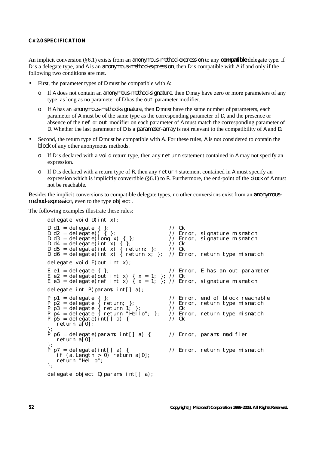An implicit conversion (§6.1) exists from an *anonymous-method-expression* to any *compatible* delegate type. If D is a delegate type, and A is an *anonymous-method-expression*, then D is compatible with A if and only if the following two conditions are met.

- First, the parameter types of  $D$  must be compatible with A:
	- o If A does not contain an *anonymous-method-signature*, then D may have zero or more parameters of any type, as long as no parameter of D has the out parameter modifier.
	- o If A has an *anonymous-method-signature*, then D must have the same number of parameters, each parameter of A must be of the same type as the corresponding parameter of D, and the presence or absence of the ref or out modifier on each parameter of A must match the corresponding parameter of D. Whether the last parameter of D is a *parameter-array* is not relevant to the compatibility of A and D.
- Second, the return type of D must be compatible with A. For these rules, A is not considered to contain the *block* of any other anonymous methods.
	- $\circ$  If D is declared with a void return type, then any return statement contained in A may not specify an expression.
	- $\circ$  If D is declared with a return type of R, then any return statement contained in A must specify an expression which is implicitly convertible (§6.1) to R. Furthermore, the end-point of the *block* of A must not be reachable.

Besides the implicit conversions to compatible delegate types, no other conversions exist from an *anonymousmethod-expression*, even to the type obj ect.

The following examples illustrate these rules:

```
delegate void D(int x);
D d1 = delegate { }; // Ok<br>D d2 = delegate() { }; // Er
                                                   // Error, signature mismatch<br>// Error, signature mismatch
D d3 = delegate(long x) { }; // Error, signature mismatch
D d4 = delegate(int x) { }; // Ok
D d5 = delegate(int x) { return; }; // Ok
D d6 = delegate(int x) { return x; }; // Error, return type mismatch
delegate void E(out int x);
E e1 = delegate { }; // Error, E has an out parameter
E e2 = delegate(out int x) { x = 1; }; // Ok
E e3 = delegate(ref int x) { x = 1; f_1, f_2 or<br>E e3 = delegate(ref int x) { x = 1; }; // Error, signature mismatch
delegate int P(params int[] a);
P p1 = delegate { }; // Error, end of block reachable
                                                   P parameter is a parameter of the parameter of the film of the state of the state of the state of the parameter of the parameter of the parameter of the parameter of the parameter of the parameter of the parameter of the p
P p2 = delegate { return; };<br>
P p3 = delegate { return 1; }; // Ok<br>
P p4 = delegate { return "Hello"; }; // Error, return type mismatch
P p4 = delegate { return "Hello"; }; // Error, p p5 = delegate (int[1 a) { // 0k
P p5 = delegate(int[] a) { // Ok
    return a[0];
};
P p6 = delegate(params int[] a) { // Error, params modifier
   return a<sup>[0]</sup>;
};
P p7 = delegate(int[] a) { // Error, return type mismatch
    if (a.Length > 0) return a[0];
    return "Hello";
};
delegate object Q(params int[] a);
```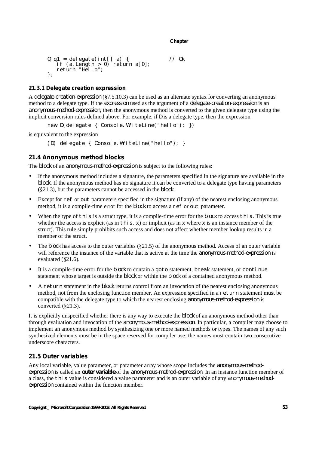```
Q q1 = del eqate(int[] a) {if (a. Length > 0) return a[0];
  return "Hello";
};
```
## **21.3.1 Delegate creation expression**

A *delegate-creation-expression* (§7.5.10.3) can be used as an alternate syntax for converting an anonymous method to a delegate type. If the *expression* used as the argument of a *delegate-creation-expression* is an *anonymous-method-expression*, then the anonymous method is converted to the given delegate type using the implicit conversion rules defined above. For example, if D is a delegate type, then the expression

new D(delegate { Console. WriteLine("hello"); })

is equivalent to the expression

```
(D) delegate { Console.WriteLine("hello"); }
```
# **21.4 Anonymous method blocks**

The *block* of an *anonymous-method-expression* is subject to the following rules:

- If the anonymous method includes a signature, the parameters specified in the signature are available in the *block*. If the anonymous method has no signature it can be converted to a delegate type having parameters (§21.3), but the parameters cannot be accessed in the *block*.
- Except for ref or out parameters specified in the signature (if any) of the nearest enclosing anonymous method, it is a compile-time error for the *block* to access a ref or out parameter.
- When the type of this is a struct type, it is a compile-time error for the *block* to access this. This is true whether the access is explicit (as in this. x) or implicit (as in  $\times$  where  $\times$  is an instance member of the struct). This rule simply prohibits such access and does not affect whether member lookup results in a member of the struct.
- The *block* has access to the outer variables (§21.5) of the anonymous method. Access of an outer variable will reference the instance of the variable that is active at the time the *anonymous-method-expression* is evaluated (§21.6).
- It is a compile-time error for the *block* to contain a goto statement, break statement, or continue statement whose target is outside the *block* or within the *block* of a contained anonymous method.
- A return statement in the *block* returns control from an invocation of the nearest enclosing anonymous method, not from the enclosing function member. An expression specified in a return statement must be compatible with the delegate type to which the nearest enclosing *anonymous-method-expression* is converted (§21.3).

It is explicitly unspecified whether there is any way to execute the *block* of an anonymous method other than through evaluation and invocation of the *anonymous-method-expression*. In particular, a compiler may choose to implement an anonymous method by synthesizing one or more named methods or types. The names of any such synthesized elements must be in the space reserved for compiler use: the names must contain two consecutive underscore characters.

# **21.5 Outer variables**

Any local variable, value parameter, or parameter array whose scope includes the *anonymous-methodexpression* is called an *outer variable* of the *anonymous-method-expression*. In an instance function member of a class, the this value is considered a value parameter and is an outer variable of any *anonymous-methodexpression* contained within the function member.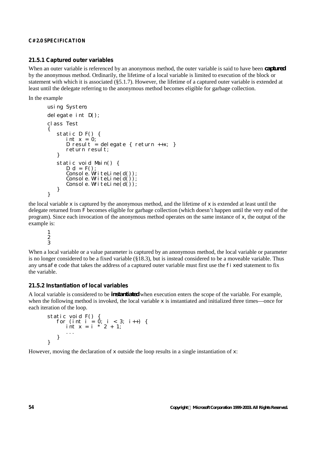### **21.5.1 Captured outer variables**

When an outer variable is referenced by an anonymous method, the outer variable is said to have been *captured* by the anonymous method. Ordinarily, the lifetime of a local variable is limited to execution of the block or statement with which it is associated (§5.1.7). However, the lifetime of a captured outer variable is extended at least until the delegate referring to the anonymous method becomes eligible for garbage collection.

In the example

```
using System;
delegate int D();
class Test
{
   static D F() {
      int x = 0;
      D result = delegate { return ++x; }
      return result;
   }
   static void Main() {
      D d = F();
      Console.WriteLine(d());
      Console. WriteLine(d();
      Consol e. WriteLine(d))}
}
```
the local variable  $\times$  is captured by the anonymous method, and the lifetime of  $\times$  is extended at least until the delegate returned from F becomes eligible for garbage collection (which doesn't happen until the very end of the program). Since each invocation of the anonymous method operates on the same instance of x, the output of the example is:

1 2  $\overline{3}$ 

When a local variable or a value parameter is captured by an anonymous method, the local variable or parameter is no longer considered to be a fixed variable (§18.3), but is instead considered to be a moveable variable. Thus any unsafe code that takes the address of a captured outer variable must first use the fixed statement to fix the variable.

### **21.5.2 Instantiation of local variables**

A local variable is considered to be *instantiated* when execution enters the scope of the variable. For example, when the following method is invoked, the local variable  $\times$  is instantiated and initialized three times—once for each iteration of the loop.

```
static void F() {
   for (int i = 0; i < 3; i++) {
      int x = i * 2 + 1;
      ...
   }
}
```
However, moving the declaration of  $\times$  outside the loop results in a single instantiation of  $\times$ :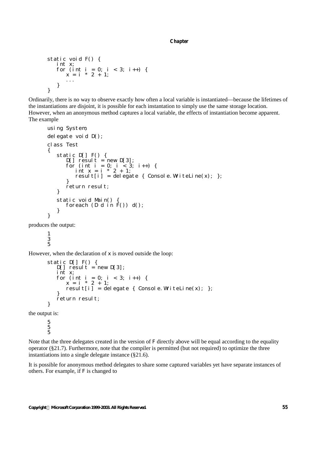```
static void F() {
   int x;
   for (int i = 0; i < 3; i++) {
      x = i * 2 + 1;...
   }
}
```
Ordinarily, there is no way to observe exactly how often a local variable is instantiated—because the lifetimes of the instantiations are disjoint, it is possible for each instantation to simply use the same storage location. However, when an anonymous method captures a local variable, the effects of instantiation become apparent. The example

```
using System;
delegate void D();
class Test
{
   static D[] F() {
      D[\ ] result = new D[3];
      for (int i = 0; i < 3; i++) {
         int x = i * 2 + 1;
         result[i] = delegate { Console.WriteLine(x); };
      }
      return result;
   }
   static void Main() {
      foreach (D d in F()) d();
   }
}
```
produces the output:

1 3  $\overline{5}$ 

However, when the declaration of  $\times$  is moved outside the loop:

```
static D[] F() {
   D[] result = new D[3];
   int x;
   for (int i = 0; i < 3; i++) {
      x = 1 + 2 + 1;result[i] = delegate { Console. WriteLine(x); };
   }
   return resul t;
}
```
the output is:

5 5 5

Note that the three delegates created in the version of  $F$  directly above will be equal according to the equality operator (§21.7). Furthermore, note that the compiler is permitted (but not required) to optimize the three instantiations into a single delegate instance (§21.6).

It is possible for anonymous method delegates to share some captured variables yet have separate instances of others. For example, if F is changed to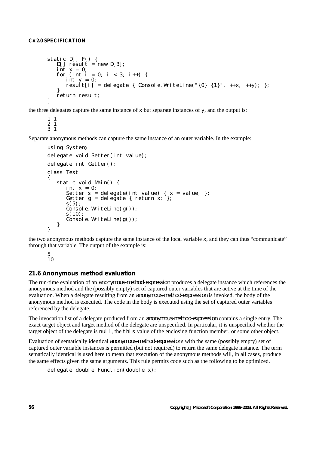```
static D[] F() {
   D[\ ] result = new D[3];
   int x = 0;
   for (int i = 0; i < 3; i++) {
      int v = 0;
      result[i] = delegate { Console. WriteLine("{0} {1}", ++x, ++y); };
   }
   return result;
}
```
the three delegates capture the same instance of  $\times$  but separate instances of  $\times$ , and the output is:

```
1 1
2 1
3 1
```
Separate anonymous methods can capture the same instance of an outer variable. In the example:

```
using System;
delegate void Setter(int value);
delegate int Getter();
class Test
{
   static void Main() {
      int x = 0;
      Setter s = delegate(int value) { x = value; };
      Getter g = delegate { return x; };
      s(5)Console. WriteLine(g());
      s(10)Console. WriteLine(g());
   }
}
```
the two anonymous methods capture the same instance of the local variable  $x$ , and they can thus "communicate" through that variable. The output of the example is:

5  $1<sub>0</sub>$ 

## **21.6 Anonymous method evaluation**

The run-time evaluation of an *anonymous-method-expression* produces a delegate instance which references the anonymous method and the (possibly empty) set of captured outer variables that are active at the time of the evaluation. When a delegate resulting from an *anonymous-method-expression* is invoked, the body of the anonymous method is executed. The code in the body is executed using the set of captured outer variables referenced by the delegate.

The invocation list of a delegate produced from an *anonymous-method-expression* contains a single entry. The exact target object and target method of the delegate are unspecified. In particular, it is unspecified whether the target object of the delegate is null, the this value of the enclosing function member, or some other object.

Evaluation of sematically identical *anonymous-method-expression*s with the same (possibly empty) set of captured outer variable instances is permitted (but not required) to return the same delegate instance. The term sematically identical is used here to mean that execution of the anonymous methods will, in all cases, produce the same effects given the same arguments. This rule permits code such as the following to be optimized.

```
delegate double Function(double x);
```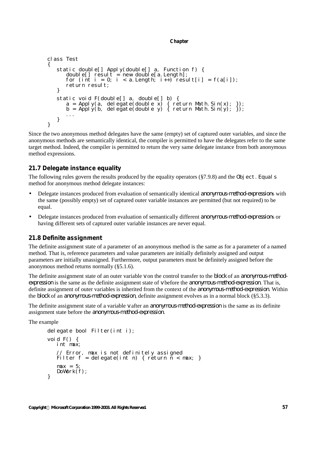```
class Test
{
   static double[] Apply(double[] a, Function f) {
      double[] result = new double[a.Length];
      for (int i = 0; i < a.Length; i++) result[i] = f(a[i]);
      return result;
   }
   static void F(double[] a, double[] b) {
      a = Apply(a, delegate(double x) { return Math.Sin(x); });
      b = Apply(b, delegate(double y) { return Math.Sin(y); });
      ...
   }
}
```
Since the two anonymous method delegates have the same (empty) set of captured outer variables, and since the anonymous methods are semantically identical, the compiler is permitted to have the delegates refer to the same target method. Indeed, the compiler is permitted to return the very same delegate instance from both anonymous method expressions.

# **21.7 Delegate instance equality**

The following rules govern the results produced by the equality operators ( $\S$ 7.9.8) and the Object. Equal  $\le$ method for anonymous method delegate instances:

- Delegate instances produced from evaluation of semantically identical *anonymous-method-expression*s with the same (possibly empty) set of captured outer variable instances are permitted (but not required) to be equal.
- Delegate instances produced from evaluation of semantically different *anonymous-method-expression*s or having different sets of captured outer variable instances are never equal.

# **21.8 Definite assignment**

The definite assignment state of a parameter of an anonymous method is the same as for a parameter of a named method. That is, reference parameters and value parameters are initially definitely assigned and output parameters are initially unassigned. Furthermore, output parameters must be definitely assigned before the anonymous method returns normally (§5.1.6).

The definite assignment state of an outer variable *v* on the control transfer to the *block* of an *anonymous-methodexpression* is the same as the definite assignment state of *v* before the *anonymous-method-expression*. That is, definite assignment of outer variables is inherited from the context of the *anonymous-method-expression*. Within the *block* of an *anonymous-method-expression*, definite assignment evolves as in a normal block (§5.3.3).

The definite assignment state of a variable *v* after an *anonymous-method-expression* is the same as its definite assignment state before the *anonymous-method-expression*.

The example

```
delegate bool Filter(int i);
void F() {
   int max;
   // Error, max is not definitely assigned
   Filter f = delegate(int n) { return \tilde{n} < max; }
   max = 5DoWork(f);
}
```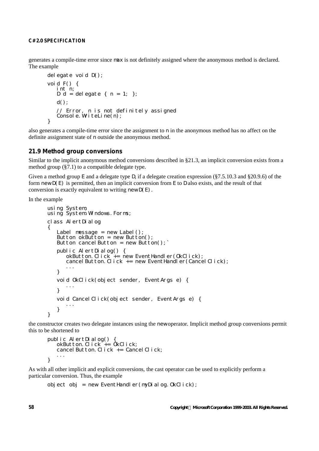generates a compile-time error since max is not definitely assigned where the anonymous method is declared. The example

```
delegate void D();
void F() {
   int n;
   D d = delegate { n = 1; };
   d();
   // Error, n is not definitely assigned
   Console. WriteLine(n);
}
```
also generates a compile-time error since the assignment to  $n$  in the anonymous method has no affect on the definite assignment state of n outside the anonymous method.

### **21.9 Method group conversions**

Similar to the implicit anonymous method conversions described in §21.3, an implicit conversion exists from a method group (§7.1) to a compatible delegate type.

Given a method group E and a delegate type D, if a delegate creation expression (§7.5.10.3 and §20.9.6) of the form new  $D(E)$  is permitted, then an implicit conversion from E to D also exists, and the result of that conversion is exactly equivalent to writing new  $D(E)$ .

In the example

```
using System;
using System. Windows. Forms;
class AlertDialog
{
   Label message = new Label();
   Button okButton = new Button();
   Button cancel Button = new Button();
   public AlertDialog() {
      okButton.Click += new EventHandler(OkClick);
      cancelButton.Click += new EventHandler(CancelClick);
      ...
   }
   void OkClick(object sender, EventArgs e) {
      ...
   }
   void CancelClick(object sender, EventArgs e) {
      ...
   }
}
```
the constructor creates two delegate instances using the new operator. Implicit method group conversions permit this to be shortened to

```
public AlertDialog() {
    okButton. Click + \sum_{i=1}^{N} OkClick;
    \frac{1}{2} cancel Button. Click += Cancel Click;
    ...
}
```
As with all other implicit and explicit conversions, the cast operator can be used to explicitly perform a particular conversion. Thus, the example

```
object obj = new EventHandler(myDialog.OkClick);
```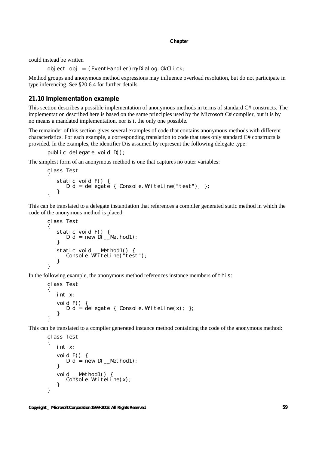could instead be written

object obj = (EventHandler)myDialog.OkClick;

Method groups and anonymous method expressions may influence overload resolution, but do not participate in type inferencing. See §20.6.4 for further details.

### **21.10 Implementation example**

This section describes a possible implementation of anonymous methods in terms of standard C# constructs. The implementation described here is based on the same principles used by the Microsoft C# compiler, but it is by no means a mandated implementation, nor is it the only one possible.

The remainder of this section gives several examples of code that contains anonymous methods with different characteristics. For each example, a corresponding translation to code that uses only standard C# constructs is provided. In the examples, the identifier  $\overline{D}$  is assumed by represent the following delegate type:

```
public delegate void D();
```
The simplest form of an anonymous method is one that captures no outer variables:

```
class Test
{
   static void F() {
     D d = del egate { Console. WriteLine("test"); };
   }
}
```
This can be translated to a delegate instantiation that references a compiler generated static method in which the code of the anonymous method is placed:

```
class Test
{
    static void F() {
        D d = new D(\underline{\hspace{2mm}} Method1);}
   static void __Method1() {
       Console. WriteLine("test");
   }
}
```
In the following example, the anonymous method references instance members of this:

```
class Test
{
   int x;
   void F() {
       \overrightarrow{D} d = delegate { Console. WriteLine(x); };
   }
}
```
This can be translated to a compiler generated instance method containing the code of the anonymous method:

```
class Test
{
   int x;
   void F() {
      D d = new D( Method1):
   }
   void __Method1() {
      Console. WriteLine(x);
   }
}
```
*Copyright Microsoft Corporation 1999-2003. All Rights Reserved.* **59**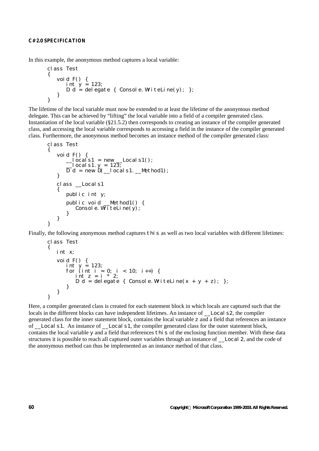In this example, the anonymous method captures a local variable:

```
class Test
{
   void F() {
      int y = 123;
      D d = delegate { Console. WriteLine(y); };
   }
}
```
The lifetime of the local variable must now be extended to at least the lifetime of the anonymous method delegate. This can be achieved by "lifting" the local variable into a field of a compiler generated class. Instantiation of the local variable (§21.5.2) then corresponds to creating an instance of the compiler generated class, and accessing the local variable corresponds to accessing a field in the instance of the compiler generated class. Furthermore, the anonymous method becomes an instance method of the compiler generated class:

```
class Test
{
    void F() {<br>
\angle | ocal s1 = new
         \Boxlocals1 = new \BoxLocals1();
         __locals1.y = 123;
         D d = new D(\underline{\hspace{1cm}} \text{local s1.} \underline{\hspace{1cm}} \text{Method1});}
    class _Locals1
     {
         public int y;
         public void __Method1() {
             Console. WriteLine(\gamma);
         }
    }
}
```
Finally, the following anonymous method captures this as well as two local variables with different lifetimes:

```
class Test
{
   int x;
   void F() {
      int y = 123;
      for (int i = 0; i < 10; i++) {
          int z = i \times 2;
         D d = del eqate { Console. WriteLine(x + y + z); }}
   }
}
```
Here, a compiler generated class is created for each statement block in which locals are captured such that the locals in the different blocks can have independent lifetimes. An instance of  $\_\$  Local s2, the compiler generated class for the inner statement block, contains the local variable z and a field that references an instance of Local s1. An instance of Local s1, the compiler generated class for the outer statement block, contains the local variable  $\vee$  and a field that references this of the enclosing function member. With these data structures it is possible to reach all captured outer variables through an instance of \_\_Local2, and the code of the anonymous method can thus be implemented as an instance method of that class.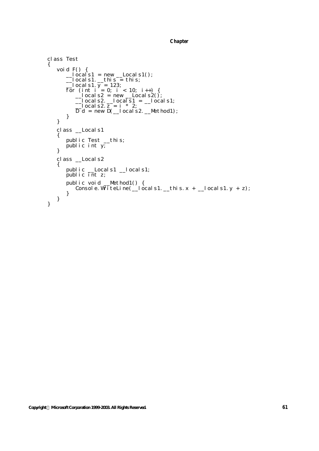```
class Test
{
    void F() {
        \Boxlocals1 = new \BoxLocals1();
        \lfloor ocal s1. \lfloor thi s = thi s;
        __locals1.y = 123;
        for (int i = 0; i < 10; i++) {
            \Boxlocals2 = new \BoxLocals2();
            \Boxl ocal s2. \Boxl ocal s1 = \Boxl ocal s1;
            \Box ocal s2. z = i \times 2;
            D d = new D(\underline{\hspace{1cm}} \text{local s2.} \underline{\hspace{1cm}} \text{Method1});}
   }
   class _Locals1
   {
        public Test __this;
        public int y;
   }
   class _Locals2
    {
       public __Locals1 __locals1;
       public int z;
        public void __Method1() {
            Console. WriteLine(_locals1. __this. x + __locals1. y + z);
       }
   }
}
```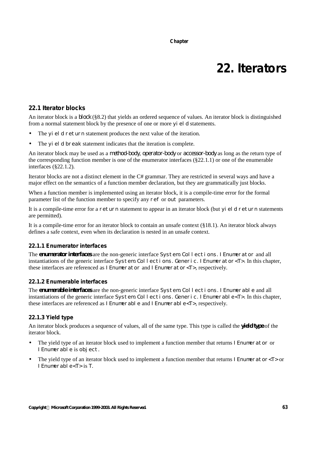# **22. Iterators**

# **22.1 Iterator blocks**

An iterator block is a *block* (§8.2) that yields an ordered sequence of values. An iterator block is distinguished from a normal statement block by the presence of one or more  $\forall i$  eld statements.

- The yield return statement produces the next value of the iteration.
- The yi eld break statement indicates that the iteration is complete.

An iterator block may be used as a *method-body*, *operator-body* or *accessor-body* as long as the return type of the corresponding function member is one of the enumerator interfaces  $(\S 22.1.1)$  or one of the enumerable interfaces (§22.1.2).

Iterator blocks are not a distinct element in the C# grammar. They are restricted in several ways and have a major effect on the semantics of a function member declaration, but they are grammatically just blocks.

When a function member is implemented using an iterator block, it is a compile-time error for the formal parameter list of the function member to specify any ref or out parameters.

It is a compile-time error for a return statement to appear in an iterator block (but yi eld return statements are permitted).

It is a compile-time error for an iterator block to contain an unsafe context (§18.1). An iterator block always defines a safe context, even when its declaration is nested in an unsafe context.

## **22.1.1 Enumerator interfaces**

The *enumerator interfaces* are the non-generic interface System. Collections. I Enumerator and all instantiations of the generic interface System. Collections. Generic. I Enumerator-T>. In this chapter, these interfaces are referenced as IEnumerator and IEnumerator<T>, respectively.

## **22.1.2 Enumerable interfaces**

The **enumerable interfaces** are the non-generic interface System. Collections. I Enumerable and all instantiations of the generic interface System. Collections. Generic. I Enumerable<T>. In this chapter, these interfaces are referenced as  $|$  Enumerable and  $|$  Enumerable  $\leq$ T $>$ , respectively.

# **22.1.3 Yield type**

An iterator block produces a sequence of values, all of the same type. This type is called the *yield type* of the iterator block.

- The yield type of an iterator block used to implement a function member that returns I Enumerator or IEnumerable is object.
- The yield type of an iterator block used to implement a function member that returns I Enumerator  $\langle T \rangle$  or IEnumerable<T> is T.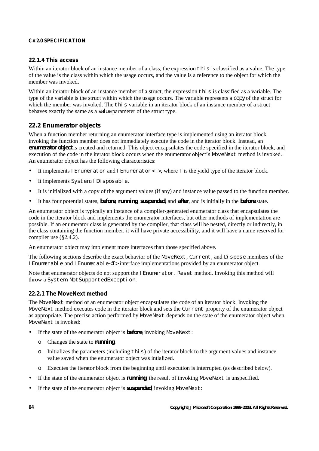## **22.1.4 This access**

Within an iterator block of an instance member of a class, the expression this is classified as a value. The type of the value is the class within which the usage occurs, and the value is a reference to the object for which the member was invoked.

Within an iterator block of an instance member of a struct, the expression this is classified as a variable. The type of the variable is the struct within which the usage occurs. The variable represents a *copy* of the struct for which the member was invoked. The this variable in an iterator block of an instance member of a struct behaves exactly the same as a *value* parameter of the struct type.

# **22.2 Enumerator objects**

When a function member returning an enumerator interface type is implemented using an iterator block, invoking the function member does not immediately execute the code in the iterator block. Instead, an *enumerator object* is created and returned. This object encapsulates the code specified in the iterator block, and execution of the code in the iterator block occurs when the enumerator object's MoveNext method is invoked. An enumerator object has the following characteristics:

- It implements I Enumerator and I Enumerator< $T$ , where  $T$  is the yield type of the iterator block.
- It implements System. I Di sposable.
- It is initialized with a copy of the argument values (if any) and instance value passed to the function member.
- It has four potential states, *before*, *running*, *suspended*, and *after*, and is initially in the *before* state.

An enumerator object is typically an instance of a compiler-generated enumerator class that encapsulates the code in the iterator block and implements the enumerator interfaces, but other methods of implementation are possible. If an enumerator class is generated by the compiler, that class will be nested, directly or indirectly, in the class containing the function member, it will have private accessibility, and it will have a name reserved for compiler use (§2.4.2).

An enumerator object may implement more interfaces than those specified above.

The following sections describe the exact behavior of the MoveNext, Current, and Dispose members of the IEnumerable and IEnumerable<T> interface implementations provided by an enumerator object.

Note that enumerator objects do not support the I Enumerator. Reset method. Invoking this method will throw a System. NotSupportedException.

# **22.2.1 The MoveNext method**

The MoveNext method of an enumerator object encapsulates the code of an iterator block. Invoking the MoveNext method executes code in the iterator block and sets the Current property of the enumerator object as appropriate. The precise action performed by MoveNext depends on the state of the enumerator object when MoveNext is invoked:

- If the state of the enumerator object is *before*, invoking MoveNext:
	- o Changes the state to *running*.
	- o Initializes the parameters (including this) of the iterator block to the argument values and instance value saved when the enumerator object was intialized.
	- o Executes the iterator block from the beginning until execution is interrupted (as described below).
- If the state of the enumerator object is *running*, the result of invoking MoveNext is unspecified.
- If the state of the enumerator object is *suspended*, invoking MoveNext: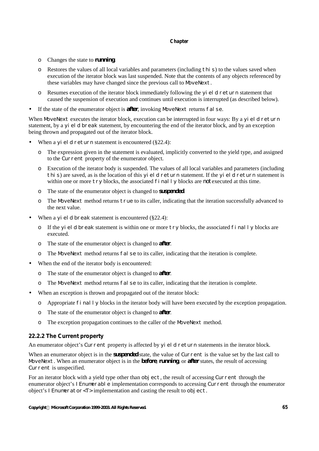- o Changes the state to *running*.
- $\circ$  Restores the values of all local variables and parameters (including this) to the values saved when execution of the iterator block was last suspended. Note that the contents of any objects referenced by these variables may have changed since the previous call to MoveNext.
- $\circ$  Resumes execution of the iterator block immediately following the yi eld return statement that caused the suspension of execution and continues until execution is interrupted (as described below).
- If the state of the enumerator object is *after*, invoking MoveNext returns false.

When MoveNext executes the iterator block, execution can be interrupted in four ways: By a yield return statement, by a yield break statement, by encountering the end of the iterator block, and by an exception being thrown and propagated out of the iterator block.

- When a yi eld return statement is encountered  $(\$22.4)$ :
	- o The expression given in the statement is evaluated, implicitly converted to the yield type, and assigned to the Current property of the enumerator object.
	- o Execution of the iterator body is suspended. The values of all local variables and parameters (including this) are saved, as is the location of this yield return statement. If the yield return statement is within one or more  $\langle \nabla \cdot \nabla \cdot \nabla \cdot \nabla \cdot \nabla \cdot \nabla \cdot \nabla \cdot \nabla \cdot \nabla \cdot \nabla \cdot \nabla \cdot \nabla \cdot \nabla \cdot \nabla \cdot \nabla \cdot \nabla \cdot \nabla \cdot \nabla \cdot \nabla \cdot \nabla \cdot \nabla \cdot \nabla \cdot \nabla \cdot \nabla \cdot \nabla \cdot \nabla \cdot \nabla \cdot \nabla \cdot \nabla \cdot \nabla \cdot \nabla \cdot \nabla \cdot \nabla \cdot \n$
	- o The state of the enumerator object is changed to *suspended*.
	- o The MoveNext method returns true to its caller, indicating that the iteration successfully advanced to the next value.
- When a yi eld break statement is encountered  $(\S22.4)$ :
	- $\circ$  If the yield break statement is within one or more try blocks, the associated finally blocks are executed.
	- o The state of the enumerator object is changed to *after*.
	- o The MoveNext method returns false to its caller, indicating that the iteration is complete.
- When the end of the iterator body is encountered:
	- o The state of the enumerator object is changed to *after*.
	- o The MoveNext method returns false to its caller, indicating that the iteration is complete.
- When an exception is thrown and propagated out of the iterator block:
	- $\circ$  Appropriate finally blocks in the iterator body will have been executed by the exception propagation.
	- o The state of the enumerator object is changed to *after*.
	- o The exception propagation continues to the caller of the MoveNext method.

## **22.2.2 The Current property**

An enumerator object's Current property is affected by yield return statements in the iterator block.

When an enumerator object is in the *suspended* state, the value of Current is the value set by the last call to MoveNext. When an enumerator object is in the *before*, *running*, or *after* states, the result of accessing Current is unspecified.

For an iterator block with a yield type other than  $obj$  ect, the result of accessing Current through the enumerator object's I Enumerable implementation corresponds to accessing Current through the enumerator object's  $\ell$  Enumerator  $\leq$  T implementation and casting the result to object.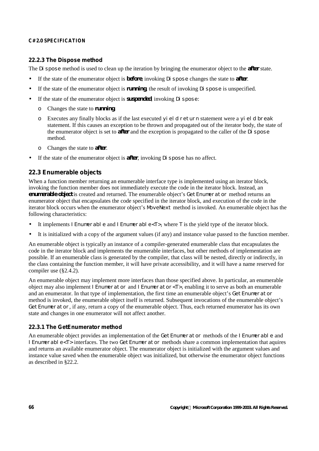## **22.2.3 The Dispose method**

The Dispose method is used to clean up the iteration by bringing the enumerator object to the *after* state.

- If the state of the enumerator object is *before*, invoking Dispose changes the state to *after*.
- If the state of the enumerator object is *running*, the result of invoking Di spose is unspecified.
- If the state of the enumerator object is *suspended*, invoking Dispose:
	- o Changes the state to *running*.
	- $\circ$  Executes any finally blocks as if the last executed yield return statement were a yield break statement. If this causes an exception to be thrown and propagated out of the iterator body, the state of the enumerator object is set to *after* and the exception is propagated to the caller of the Di spose method.
	- o Changes the state to *after*.
- If the state of the enumerator object is *after*, invoking Dispose has no affect.

# **22.3 Enumerable objects**

When a function member returning an enumerable interface type is implemented using an iterator block, invoking the function member does not immediately execute the code in the iterator block. Instead, an *enumerable object* is created and returned. The enumerable object's GetEnumerator method returns an enumerator object that encapsulates the code specified in the iterator block, and execution of the code in the iterator block occurs when the enumerator object's MoveNext method is invoked. An enumerable object has the following characteristics:

- It implements I Enumerable and I Enumerable  $\epsilon$ T>, where T is the yield type of the iterator block.
- It is initialized with a copy of the argument values (if any) and instance value passed to the function member.

An enumerable object is typically an instance of a compiler-generated enumerable class that encapsulates the code in the iterator block and implements the enumerable interfaces, but other methods of implementation are possible. If an enumerable class is generated by the compiler, that class will be nested, directly or indirectly, in the class containing the function member, it will have private accessibility, and it will have a name reserved for compiler use (§2.4.2).

An enumerable object may implement more interfaces than those specified above. In particular, an enumerable object may also implement IEnumerator and IEnumerator<T>, enabling it to serve as both an enumerable and an enumerator. In that type of implementation, the first time an enumerable object's GetEnumerator method is invoked, the enumerable object itself is returned. Subsequent invocations of the enumerable object's GetEnumerator, if any, return a copy of the enumerable object. Thus, each returned enumerator has its own state and changes in one enumerator will not affect another.

## **22.3.1 The GetEnumerator method**

An enumerable object provides an implementation of the GetEnumerator methods of the I Enumerable and I Enumerable<T>interfaces. The two GetEnumerator methods share a common implementation that aquires and returns an available enumerator object. The enumerator object is initialized with the argument values and instance value saved when the enumerable object was initialized, but otherwise the enumerator object functions as described in §22.2.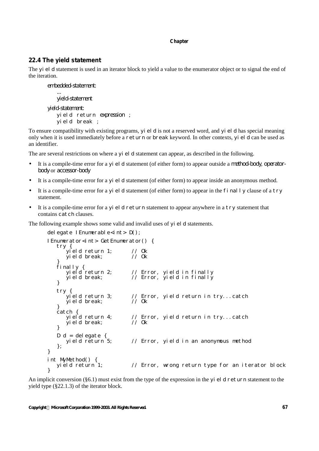## **22.4 The yield statement**

The  $\forall i \in I$  d statement is used in an iterator block to yield a value to the enumerator object or to signal the end of the iteration.

*embedded-statement:*

*... yield-statement*

```
yield-statement:
   yield return expression ;
   yield break ;
```
To ensure compatibility with existing programs, yi eld is not a reserved word, and yi eld has special meaning only when it is used immediately before a return or break keyword. In other contexts, yield can be used as an identifier.

The are several restrictions on where a yi eld statement can appear, as described in the following.

- It is a compile-time error for a yi eld statement (of either form) to appear outside a *method-body*, *operatorbody* or *accessor-body*
- It is a compile-time error for a  $\vee$  i eld statement (of either form) to appear inside an anonymous method.
- It is a compile-time error for a yield statement (of either form) to appear in the finally clause of a try statement.
- It is a compile-time error for a yield return statement to appear anywhere in a try statement that contains catch clauses.

The following example shows some valid and invalid uses of  $\forall i \in \mathbb{I}$  d statements.

```
delegate I Enumerable<int> D();
I Enumerator<int> GetEnumerator() {
    try {
       yield return 1; // Ok
       yield break; // Ok
    }
    finally {
       yield return 2; // Error, yield in finally
       yield break; // Error, yield in finally
   }
   try {<br>
yield return 3;
                                 // Error, yield return in try...catch<br>// Ok
       yi eld break;
    }
   \begin{array}{c} \text{catch} \\ \text{yield return 4:} \end{array}// Error, yield return in try...catch<br>// Ok
       yi el d break;
   }
   D d = delegate {<br>yield return 5;
                                 // Error, yield in an anonymous method
   };
}
int MyMethod() {
                                 \frac{1}{2} Error, wrong return type for an iterator block
\overline{\mathfrak{z}}
```
An implicit conversion (§6.1) must exist from the type of the expression in the yi eld return statement to the yield type (§22.1.3) of the iterator block.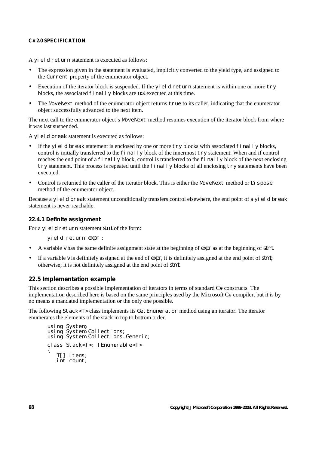A yi eld return statement is executed as follows:

- The expression given in the statement is evaluated, implicitly converted to the yield type, and assigned to the Current property of the enumerator object.
- Execution of the iterator block is suspended. If the  $yi \in d$  return statement is within one or more try blocks, the associated finally blocks are *not* executed at this time.
- The MoveNext method of the enumerator object returns true to its caller, indicating that the enumerator object successfully advanced to the next item.

The next call to the enumerator object's MoveNext method resumes execution of the iterator block from where it was last suspended.

A yield break statement is executed as follows:

- If the yield break statement is enclosed by one or more  $t \rightharpoondown b$  blocks with associated finally blocks, control is initially transferred to the  $f$  inally block of the innermost  $f \circ f$  statement. When and if control reaches the end point of a finally block, control is transferred to the finally block of the next enclosing try statement. This process is repeated until the  $f$  inally blocks of all enclosing try statements have been executed.
- Control is returned to the caller of the iterator block. This is either the MoveNext method or Dispose method of the enumerator object.

Because a yi eld break statement unconditionally transfers control elsewhere, the end point of a yi eld break statement is never reachable.

#### **22.4.1 Definite assignment**

For a yi eld return statement *stmt* of the form:

yield return *expr* ;

- A variable *v* has the same definite assignment state at the beginning of *expr* as at the beginning of *stmt*.
- If a variable *v* is definitely assigned at the end of *expr*, it is definitely assigned at the end point of *stmt*; otherwise; it is not definitely assigned at the end point of *stmt*.

# **22.5 Implementation example**

This section describes a possible implementation of iterators in terms of standard C# constructs. The implementation described here is based on the same principles used by the Microsoft C# compiler, but it is by no means a mandated implementation or the only one possible.

The following Stack<T> class implements its GetEnumerator method using an iterator. The iterator enumerates the elements of the stack in top to bottom order.

```
using System;
using System.Collections;
using System.Collections.Generic;
class Stack<T>: IEnumerable<T>
{
   T[] items;
   int count;
```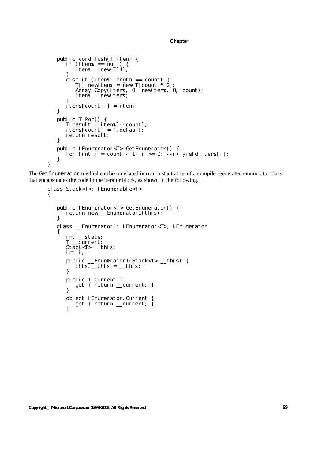```
public void Push(T item) {
      if (items == \text{null}) {
         items = new T[4];
      }
      else if (items.Length == count) {
          T[] newltems = new T[count * 2];
         Array. Copy(items, 0, newItems, 0, count);
         i tems = newl tems;
      }
      items[count++] = item;
   }
   public T Pop() {
      T result = items[--count];
      i tems[count] = T. defaul t;
      return result;
   }
   public IEnumerator<T> GetEnumerator() {
      for (int i = count - 1; i >= 0; --i) yield items[i];
   }
}
```
The GetEnumerator method can be translated into an instantiation of a compiler-generated enumerator class that encapsulates the code in the iterator block, as shown in the following.

```
class Stack<T>: IEnumerable<T>
{
   ...
   public IEnumerator<T> GetEnumerator() {
      return new __Enumerator1(this);
   }
   class __Enumerator1: IEnumerator<T>, IEnumerator
   {
      int __state;
      T __current;
      Stack<T> __this;
      int i;
      public __Enumerator1(Stack<T> __this) {
          this. \frac{1}{2}this = \frac{1}{2}this;
      }
      public T Current {
          get { return __current; }
      }
      object IEnumerator. Current {
         get { return __current; }
      }
```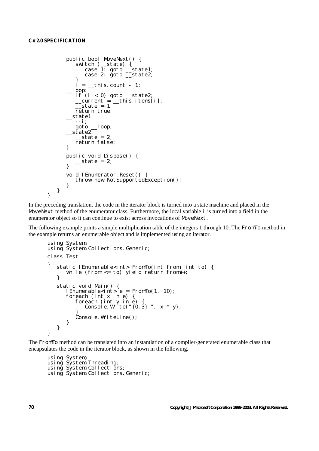}

```
public bool MoveNext() {
       switch (__state) {
          case 1: goto __state1;
          case 2: goto __state2;
       }
       i = \underline{\hspace{2cm}}this.count - 1;
     __loop:
      if (i < 0) goto __state2;
       \_current = \_\text{thi s. i tens[i]};_ __state = 1;
       return true;
    _3tate1:
       -i;
       goto __loop;
   __state2:
        _ _state = 2;
      return false;
   }
   public void Dispose() {
      _ __state = 2;
   }
   void I Enumerator. Reset() {
       throw new NotSupportedException();
   }
}
```
In the preceding translation, the code in the iterator block is turned into a state machine and placed in the MoveNext method of the enumerator class. Furthermore, the local variable i is turned into a field in the enumerator object so it can continue to exist across invocations of MoveNext.

The following example prints a simple multiplication table of the integers 1 through 10. The FromTo method in the example returns an enumerable object and is implemented using an iterator.

```
using System;
using System.Collections.Generic;
class Test
{
   static IEnumerable<int>FromTo(int from, int to) {
      while (from <= to) yield return from++;
   }
   static void Main() {
      IEnumerable<int> e = FromTo(1, 10);
      foreach (int x in e) {
         foreach (int y in e) {
            Console. Write("\{0,3\}", x * y);
         }
         Console.WriteLine();
      }
  }
}
```
The FromTo method can be translated into an instantiation of a compiler-generated enumerable class that encapsulates the code in the iterator block, as shown in the following.

using System; using System.Threading; using System.Collections; using System. Collections. Generic;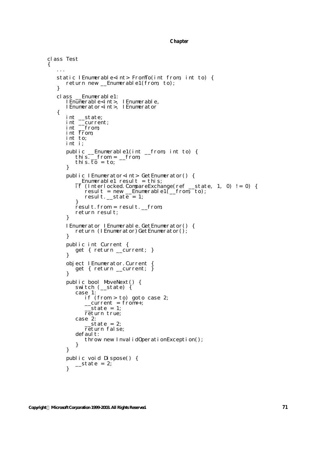```
class Test
   ...
   static IEnumerable<int>FromTo(int from, int to) {
      return new __Enumerable1(from, to);
   }
   class __Enumerable1:
      IEnumerable<int>, IEnumerable,
      IEnumerator<int>, IEnumerator
   {
      int __state;
      int __current;
      int __from;
      int from;
      int to;
      int i;
      public __Enumerable1(int __from, int to) {
          this. r = r from = r = rthis. to = to;
      }
      public IEnumerator<int> GetEnumerator() {
           Enumerable1 result = this;
          if (Interlocked.CompareExchange(ref __state, 1, 0) != 0) {
             result = new \equiv Enumerable1(\equivfrom, to);
            resul t. _state = 1;
         }
         resul t. from = resul t. __ from;
         return resul t;
      }
      IEnumerator IEnumerable.GetEnumerator() {
         return (IEnumerator)GetEnumerator();
      }
      public int Current {
         get { return __current; }
      }
      object I Enumerator. Current {
         get { return __current; }
      }
      public bool MoveNext() {
         switch (__state) {
         case 1:
            if (from > to) goto case 2;
             \_current = from++;_ __state = 1;
            return true;
         case 2:
              _state = 2;
            return false;
         defaul t:
            throw new InvalidOperationException();
         }
      }
      public void Dispose() {
         _3 state = 2;
      }
```
{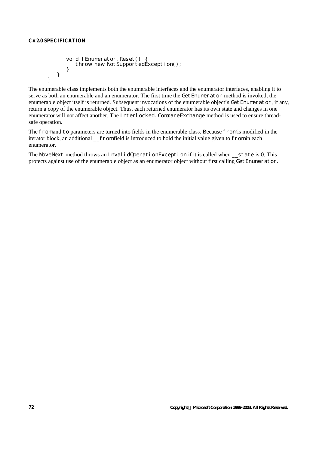```
void IEnumerator.Reset() {
         throw new NotSupportedException();
      }
   }
}
```
The enumerable class implements both the enumerable interfaces and the enumerator interfaces, enabling it to serve as both an enumerable and an enumerator. The first time the GetEnumerator method is invoked, the enumerable object itself is returned. Subsequent invocations of the enumerable object's GetEnumerator, if any, return a copy of the enumerable object. Thus, each returned enumerator has its own state and changes in one enumerator will not affect another. The  $|$ nterlocked. CompareExchange method is used to ensure threadsafe operation.

The from and to parameters are turned into fields in the enumerable class. Because from is modified in the iterator block, an additional \_\_from field is introduced to hold the initial value given to from in each enumerator.

The MoveNext method throws an InvalidOperationException if it is called when \_\_state is 0. This protects against use of the enumerable object as an enumerator object without first calling GetEnumerator.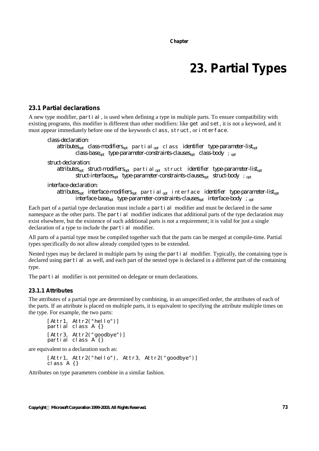# **23. Partial Types**

#### **23.1 Partial declarations**

A new type modifier, partial, is used when defining a type in multiple parts. To ensure compatibility with existing programs, this modifier is different than other modifiers: like get and set, it is not a keyword, and it must appear immediately before one of the keywords class, struct, or interface.

```
class-declaration:
    attributesopt class-modifiersopt partialopt class identifier type-parameter-listopt
            class-baseopt
type-parameter-constraints-clausesopt class-body ;opt
```
*struct-declaration: attributesopt struct-modifiersopt* partial*opt* struct *identifier type-parameter-listopt struct-interfacesopt type-parameter-constraints-clausesopt struct-body* ;*opt*

```
interface-declaration:
```
*attributesopt interface-modifiersopt* partial*opt* interface *identifier type-parameter-listopt interface-baseopt type-parameter-constraints-clausesopt interface-body* ;*opt*

Each part of a partial type declaration must include a partial modifier and must be declared in the same namespace as the other parts. The partial modifier indicates that additional parts of the type declaration may exist elsewhere, but the existence of such additional parts is not a requirement; it is valid for just a single declaration of a type to include the partial modifier.

All parts of a partial type must be compiled together such that the parts can be merged at compile-time. Partial types specifically do not allow already compiled types to be extended.

Nested types may be declared in multiple parts by using the partial modifier. Typically, the containing type is declared using partial as well, and each part of the nested type is declared in a different part of the containing type.

The partial modifier is not permitted on delegate or enum declarations.

#### **23.1.1 Attributes**

The attributes of a partial type are determined by combining, in an unspecified order, the attributes of each of the parts. If an attribute is placed on multiple parts, it is equivalent to specifying the attribute multiple times on the type. For example, the two parts:

```
[Attr1, Attr2("hello")]
partial class A {}
[Attr3, Attr2("goodbye")]
partial class A^{(1)}
```
are equivalent to a declaration such as:

```
[Attr1, Attr2("hello"), Attr3, Attr2("goodbye")]
class A {}
```
Attributes on type parameters combine in a similar fashion.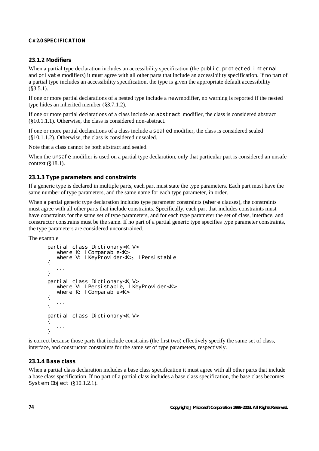## **23.1.2 Modifiers**

When a partial type declaration includes an accessibility specification (the public, protected, internal, and private modifiers) it must agree with all other parts that include an accessibility specification. If no part of a partial type includes an accessibility specification, the type is given the appropriate default accessibility  $(§3.5.1).$ 

If one or more partial declarations of a nested type include a new modifier, no warning is reported if the nested type hides an inherited member (§3.7.1.2).

If one or more partial declarations of a class include an abstract modifier, the class is considered abstract (§10.1.1.1). Otherwise, the class is considered non-abstract.

If one or more partial declarations of a class include a sealed modifier, the class is considered sealed (§10.1.1.2). Otherwise, the class is considered unsealed.

Note that a class cannot be both abstract and sealed.

When the unsafe modifier is used on a partial type declaration, only that particular part is considered an unsafe context (§18.1).

## **23.1.3 Type parameters and constraints**

If a generic type is declared in multiple parts, each part must state the type parameters. Each part must have the same number of type parameters, and the same name for each type parameter, in order.

When a partial generic type declaration includes type parameter constraints (where clauses), the constraints must agree with all other parts that include constraints. Specifically, each part that includes constraints must have constraints for the same set of type parameters, and for each type parameter the set of class, interface, and constructor constrains must be the same. If no part of a partial generic type specifies type parameter constraints, the type parameters are considered unconstrained.

The example

```
partial class Dictionary<K,V>
   where K: IComparable<K>
   where V: IKeyProvider<K>, IPersistable
{
   ...
}
partial class Dictionary<K,V>
   where V: I Persistable, I KeyProvider<K>
   where K: I Comparable<K>
{
   ...
}
partial class Dictionary<K,V>
{
   ...
}
```
is correct because those parts that include constrains (the first two) effectively specify the same set of class, interface, and constructor constraints for the same set of type parameters, respectively.

# **23.1.4 Base class**

When a partial class declaration includes a base class specification it must agree with all other parts that include a base class specification. If no part of a partial class includes a base class specification, the base class becomes System. Object (§10.1.2.1).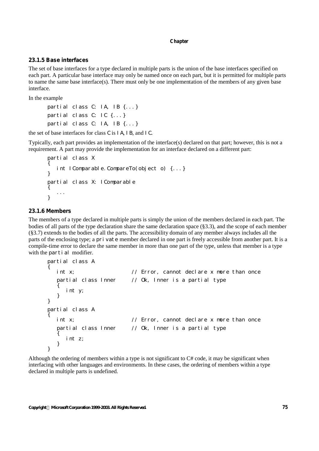#### **23.1.5 Base interfaces**

The set of base interfaces for a type declared in multiple parts is the union of the base interfaces specified on each part. A particular base interface may only be named once on each part, but it is permitted for multiple parts to name the same base interface(s). There must only be one implementation of the members of any given base interface.

In the example

```
partial class C: IA, IB {...}
partial class C: IC {...}
partial class C: IA, IB {...}
```
the set of base interfaces for class  $C$  is  $|A|$ ,  $|B|$ , and  $|C|$ .

Typically, each part provides an implementation of the interface(s) declared on that part; however, this is not a requirement. A part may provide the implementation for an interface declared on a different part:

```
partial class X
{
  int IComparable.CompareTo(object o) {...}
}
partial class X: IComparable
{
   ...
}
```
#### **23.1.6 Members**

The members of a type declared in multiple parts is simply the union of the members declared in each part. The bodies of all parts of the type declaration share the same declaration space (§3.3), and the scope of each member (§3.7) extends to the bodies of all the parts. The accessibility domain of any member always includes all the parts of the enclosing type; a private member declared in one part is freely accessible from another part. It is a compile-time error to declare the same member in more than one part of the type, unless that member is a type with the partial modifier.

```
partial class A
{
  int x; // Error, cannot declare x more than once
  partial class Inner // Ok, Inner is a partial type
   {
     int y;
  }
}
partial class A
{
  int x; \frac{1}{2} // Error, cannot declare x more than once
  partial class Inner // Ok, Inner is a partial type
   {
     int z;
   }
}
```
Although the ordering of members within a type is not significant to  $C\#$  code, it may be significant when interfacing with other languages and environments. In these cases, the ordering of members within a type declared in multiple parts is undefined.